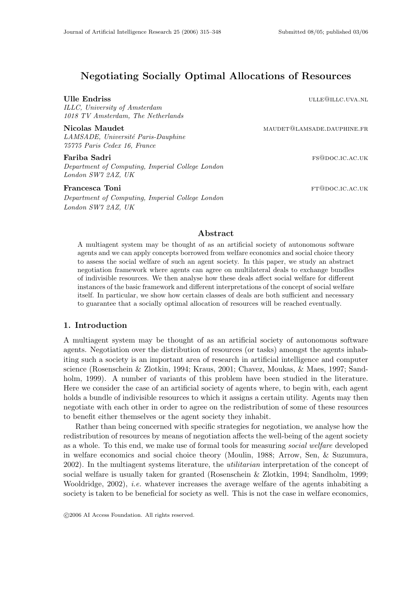# Negotiating Socially Optimal Allocations of Resources

ILLC, University of Amsterdam 1018 TV Amsterdam, The Netherlands

LAMSADE, Université Paris-Dauphine 75775 Paris Cedex 16, France

Department of Computing, Imperial College London London SW7 2AZ, UK

# Francesca Toni Francesca Toni Ft@DOC.IC.AC.UK

Department of Computing, Imperial College London London SW7 2AZ, UK

Ulle Endriss under the contract of the contract of the contract of the contract of the contract of the contract of the contract of the contract of the contract of the contract of the contract of the contract of the contrac

Nicolas Maudet materials and manufacture materials and manufacture materials and materials and materials and materials and materials and materials and materials and materials and materials and materials and materials and m

**Fariba Sadri f**s@doc.ic.ac.uk

# Abstract

A multiagent system may be thought of as an artificial society of autonomous software agents and we can apply concepts borrowed from welfare economics and social choice theory to assess the social welfare of such an agent society. In this paper, we study an abstract negotiation framework where agents can agree on multilateral deals to exchange bundles of indivisible resources. We then analyse how these deals affect social welfare for different instances of the basic framework and different interpretations of the concept of social welfare itself. In particular, we show how certain classes of deals are both sufficient and necessary to guarantee that a socially optimal allocation of resources will be reached eventually.

# 1. Introduction

A multiagent system may be thought of as an artificial society of autonomous software agents. Negotiation over the distribution of resources (or tasks) amongst the agents inhabiting such a society is an important area of research in artificial intelligence and computer science (Rosenschein & Zlotkin, 1994; Kraus, 2001; Chavez, Moukas, & Maes, 1997; Sandholm, 1999). A number of variants of this problem have been studied in the literature. Here we consider the case of an artificial society of agents where, to begin with, each agent holds a bundle of indivisible resources to which it assigns a certain utility. Agents may then negotiate with each other in order to agree on the redistribution of some of these resources to benefit either themselves or the agent society they inhabit.

Rather than being concerned with specific strategies for negotiation, we analyse how the redistribution of resources by means of negotiation affects the well-being of the agent society as a whole. To this end, we make use of formal tools for measuring social welfare developed in welfare economics and social choice theory (Moulin, 1988; Arrow, Sen, & Suzumura, 2002). In the multiagent systems literature, the utilitarian interpretation of the concept of social welfare is usually taken for granted (Rosenschein & Zlotkin, 1994; Sandholm, 1999; Wooldridge,  $2002$ ), *i.e.* whatever increases the average welfare of the agents inhabiting a society is taken to be beneficial for society as well. This is not the case in welfare economics,

c 2006 AI Access Foundation. All rights reserved.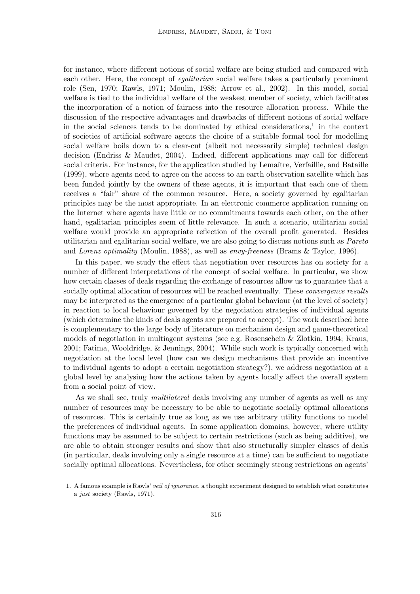for instance, where different notions of social welfare are being studied and compared with each other. Here, the concept of *egalitarian* social welfare takes a particularly prominent role (Sen, 1970; Rawls, 1971; Moulin, 1988; Arrow et al., 2002). In this model, social welfare is tied to the individual welfare of the weakest member of society, which facilitates the incorporation of a notion of fairness into the resource allocation process. While the discussion of the respective advantages and drawbacks of different notions of social welfare in the social sciences tends to be dominated by ethical considerations,<sup>1</sup> in the context of societies of artificial software agents the choice of a suitable formal tool for modelling social welfare boils down to a clear-cut (albeit not necessarily simple) technical design decision (Endriss & Maudet, 2004). Indeed, different applications may call for different social criteria. For instance, for the application studied by Lemaître, Verfaillie, and Bataille (1999), where agents need to agree on the access to an earth observation satellite which has been funded jointly by the owners of these agents, it is important that each one of them receives a "fair" share of the common resource. Here, a society governed by egalitarian principles may be the most appropriate. In an electronic commerce application running on the Internet where agents have little or no commitments towards each other, on the other hand, egalitarian principles seem of little relevance. In such a scenario, utilitarian social welfare would provide an appropriate reflection of the overall profit generated. Besides utilitarian and egalitarian social welfare, we are also going to discuss notions such as Pareto and Lorenz optimality (Moulin, 1988), as well as envy-freeness (Brams & Taylor, 1996).

In this paper, we study the effect that negotiation over resources has on society for a number of different interpretations of the concept of social welfare. In particular, we show how certain classes of deals regarding the exchange of resources allow us to guarantee that a socially optimal allocation of resources will be reached eventually. These *convergence results* may be interpreted as the emergence of a particular global behaviour (at the level of society) in reaction to local behaviour governed by the negotiation strategies of individual agents (which determine the kinds of deals agents are prepared to accept). The work described here is complementary to the large body of literature on mechanism design and game-theoretical models of negotiation in multiagent systems (see e.g. Rosenschein & Zlotkin, 1994; Kraus, 2001; Fatima, Wooldridge, & Jennings, 2004). While such work is typically concerned with negotiation at the local level (how can we design mechanisms that provide an incentive to individual agents to adopt a certain negotiation strategy?), we address negotiation at a global level by analysing how the actions taken by agents locally affect the overall system from a social point of view.

As we shall see, truly *multilateral* deals involving any number of agents as well as any number of resources may be necessary to be able to negotiate socially optimal allocations of resources. This is certainly true as long as we use arbitrary utility functions to model the preferences of individual agents. In some application domains, however, where utility functions may be assumed to be subject to certain restrictions (such as being additive), we are able to obtain stronger results and show that also structurally simpler classes of deals (in particular, deals involving only a single resource at a time) can be sufficient to negotiate socially optimal allocations. Nevertheless, for other seemingly strong restrictions on agents'

<sup>1.</sup> A famous example is Rawls' veil of ignorance, a thought experiment designed to establish what constitutes a just society (Rawls, 1971).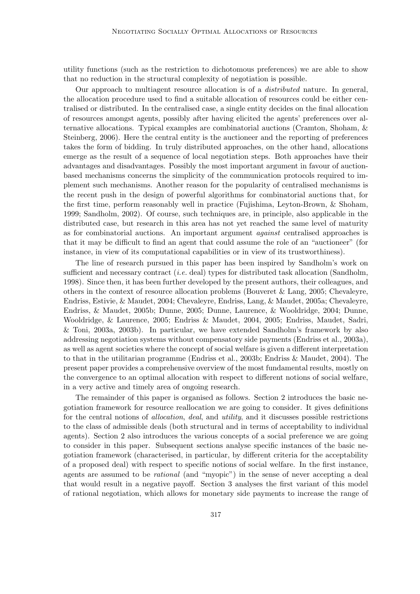utility functions (such as the restriction to dichotomous preferences) we are able to show that no reduction in the structural complexity of negotiation is possible.

Our approach to multiagent resource allocation is of a distributed nature. In general, the allocation procedure used to find a suitable allocation of resources could be either centralised or distributed. In the centralised case, a single entity decides on the final allocation of resources amongst agents, possibly after having elicited the agents' preferences over alternative allocations. Typical examples are combinatorial auctions (Cramton, Shoham, & Steinberg, 2006). Here the central entity is the auctioneer and the reporting of preferences takes the form of bidding. In truly distributed approaches, on the other hand, allocations emerge as the result of a sequence of local negotiation steps. Both approaches have their advantages and disadvantages. Possibly the most important argument in favour of auctionbased mechanisms concerns the simplicity of the communication protocols required to implement such mechanisms. Another reason for the popularity of centralised mechanisms is the recent push in the design of powerful algorithms for combinatorial auctions that, for the first time, perform reasonably well in practice (Fujishima, Leyton-Brown, & Shoham, 1999; Sandholm, 2002). Of course, such techniques are, in principle, also applicable in the distributed case, but research in this area has not yet reached the same level of maturity as for combinatorial auctions. An important argument against centralised approaches is that it may be difficult to find an agent that could assume the role of an "auctioneer" (for instance, in view of its computational capabilities or in view of its trustworthiness).

The line of research pursued in this paper has been inspired by Sandholm's work on sufficient and necessary contract *(i.e.* deal) types for distributed task allocation (Sandholm, 1998). Since then, it has been further developed by the present authors, their colleagues, and others in the context of resource allocation problems (Bouveret & Lang, 2005; Chevaleyre, Endriss, Estivie, & Maudet, 2004; Chevaleyre, Endriss, Lang, & Maudet, 2005a; Chevaleyre, Endriss, & Maudet, 2005b; Dunne, 2005; Dunne, Laurence, & Wooldridge, 2004; Dunne, Wooldridge, & Laurence, 2005; Endriss & Maudet, 2004, 2005; Endriss, Maudet, Sadri, & Toni, 2003a, 2003b). In particular, we have extended Sandholm's framework by also addressing negotiation systems without compensatory side payments (Endriss et al., 2003a), as well as agent societies where the concept of social welfare is given a different interpretation to that in the utilitarian programme (Endriss et al., 2003b; Endriss & Maudet, 2004). The present paper provides a comprehensive overview of the most fundamental results, mostly on the convergence to an optimal allocation with respect to different notions of social welfare, in a very active and timely area of ongoing research.

The remainder of this paper is organised as follows. Section 2 introduces the basic negotiation framework for resource reallocation we are going to consider. It gives definitions for the central notions of *allocation*, *deal*, and *utility*, and it discusses possible restrictions to the class of admissible deals (both structural and in terms of acceptability to individual agents). Section 2 also introduces the various concepts of a social preference we are going to consider in this paper. Subsequent sections analyse specific instances of the basic negotiation framework (characterised, in particular, by different criteria for the acceptability of a proposed deal) with respect to specific notions of social welfare. In the first instance, agents are assumed to be rational (and "myopic") in the sense of never accepting a deal that would result in a negative payoff. Section 3 analyses the first variant of this model of rational negotiation, which allows for monetary side payments to increase the range of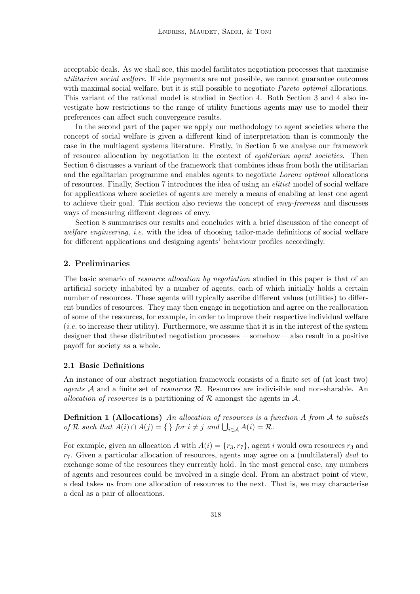acceptable deals. As we shall see, this model facilitates negotiation processes that maximise utilitarian social welfare. If side payments are not possible, we cannot guarantee outcomes with maximal social welfare, but it is still possible to negotiate *Pareto optimal* allocations. This variant of the rational model is studied in Section 4. Both Section 3 and 4 also investigate how restrictions to the range of utility functions agents may use to model their preferences can affect such convergence results.

In the second part of the paper we apply our methodology to agent societies where the concept of social welfare is given a different kind of interpretation than is commonly the case in the multiagent systems literature. Firstly, in Section 5 we analyse our framework of resource allocation by negotiation in the context of egalitarian agent societies. Then Section 6 discusses a variant of the framework that combines ideas from both the utilitarian and the egalitarian programme and enables agents to negotiate Lorenz optimal allocations of resources. Finally, Section 7 introduces the idea of using an elitist model of social welfare for applications where societies of agents are merely a means of enabling at least one agent to achieve their goal. This section also reviews the concept of *envy-freeness* and discusses ways of measuring different degrees of envy.

Section 8 summarises our results and concludes with a brief discussion of the concept of welfare engineering, i.e. with the idea of choosing tailor-made definitions of social welfare for different applications and designing agents' behaviour profiles accordingly.

# 2. Preliminaries

The basic scenario of *resource allocation by negotiation* studied in this paper is that of an artificial society inhabited by a number of agents, each of which initially holds a certain number of resources. These agents will typically ascribe different values (utilities) to different bundles of resources. They may then engage in negotiation and agree on the reallocation of some of the resources, for example, in order to improve their respective individual welfare  $(i.e.$  to increase their utility). Furthermore, we assume that it is in the interest of the system designer that these distributed negotiation processes —somehow— also result in a positive payoff for society as a whole.

# 2.1 Basic Definitions

An instance of our abstract negotiation framework consists of a finite set of (at least two) agents  $A$  and a finite set of *resources*  $R$ . Resources are indivisible and non-sharable. An allocation of resources is a partitioning of  $\mathcal R$  amongst the agents in  $\mathcal A$ .

**Definition 1 (Allocations)** An allocation of resources is a function A from A to subsets of R such that  $A(i) \cap A(j) = \{\}\$  for  $i \neq j$  and  $\bigcup_{i \in A} A(i) = \mathcal{R}$ .

For example, given an allocation A with  $A(i) = \{r_3, r_7\}$ , agent i would own resources  $r_3$  and  $r_7$ . Given a particular allocation of resources, agents may agree on a (multilateral) deal to exchange some of the resources they currently hold. In the most general case, any numbers of agents and resources could be involved in a single deal. From an abstract point of view, a deal takes us from one allocation of resources to the next. That is, we may characterise a deal as a pair of allocations.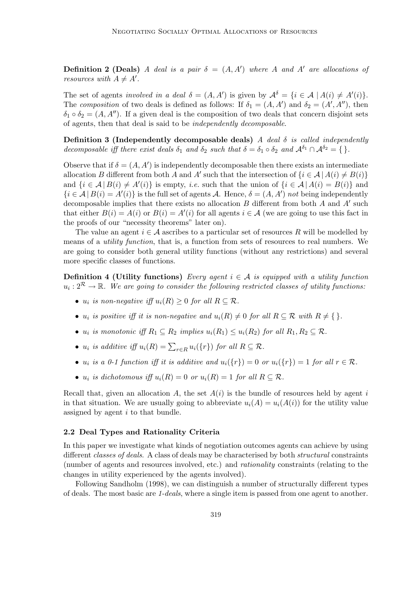**Definition 2 (Deals)** A deal is a pair  $\delta = (A, A')$  where A and A' are allocations of resources with  $A \neq A'$ .

The set of agents involved in a deal  $\delta = (A, A')$  is given by  $A^{\delta} = \{i \in A \mid A(i) \neq A'(i)\}.$ The composition of two deals is defined as follows: If  $\delta_1 = (A, A')$  and  $\delta_2 = (A', A'')$ , then  $\delta_1 \circ \delta_2 = (A, A'')$ . If a given deal is the composition of two deals that concern disjoint sets of agents, then that deal is said to be independently decomposable.

Definition 3 (Independently decomposable deals) A deal  $\delta$  is called independently decomposable iff there exist deals  $\delta_1$  and  $\delta_2$  such that  $\delta = \delta_1 \circ \delta_2$  and  $\mathcal{A}^{\delta_1} \cap \mathcal{A}^{\delta_2} = \{\}.$ 

Observe that if  $\delta = (A, A')$  is independently decomposable then there exists an intermediate allocation B different from both A and A' such that the intersection of  $\{i \in \mathcal{A} \mid A(i) \neq B(i)\}$ and  $\{i \in \mathcal{A} | B(i) \neq A'(i)\}\$ is empty, *i.e.* such that the union of  $\{i \in \mathcal{A} | A(i) = B(i)\}\$ and  $\{i \in \mathcal{A} \mid B(i) = A'(i)\}\$ is the full set of agents A. Hence,  $\delta = (A, A')$  not being independently decomposable implies that there exists no allocation  $B$  different from both  $A$  and  $A'$  such that either  $B(i) = A(i)$  or  $B(i) = A'(i)$  for all agents  $i \in A$  (we are going to use this fact in the proofs of our "necessity theorems" later on).

The value an agent  $i \in \mathcal{A}$  ascribes to a particular set of resources R will be modelled by means of a utility function, that is, a function from sets of resources to real numbers. We are going to consider both general utility functions (without any restrictions) and several more specific classes of functions.

**Definition 4 (Utility functions)** Every agent  $i \in A$  is equipped with a utility function  $u_i: 2^{\mathcal{R}} \rightarrow \mathbb{R}$ . We are going to consider the following restricted classes of utility functions.

- $u_i$  is non-negative iff  $u_i(R) \geq 0$  for all  $R \subseteq \mathcal{R}$ .
- $u_i$  is positive iff it is non-negative and  $u_i(R) \neq 0$  for all  $R \subset \mathcal{R}$  with  $R \neq \{\}.$
- $u_i$  is monotonic iff  $R_1 \subseteq R_2$  implies  $u_i(R_1) \leq u_i(R_2)$  for all  $R_1, R_2 \subseteq \mathcal{R}$ .
- $u_i$  is additive iff  $u_i(R) = \sum_{r \in R} u_i({r})$  for all  $R \subseteq \mathcal{R}$ .
- $u_i$  is a 0-1 function iff it is additive and  $u_i({r}) = 0$  or  $u_i({r}) = 1$  for all  $r \in \mathcal{R}$ .
- $u_i$  is dichotomous iff  $u_i(R) = 0$  or  $u_i(R) = 1$  for all  $R \subseteq \mathcal{R}$ .

Recall that, given an allocation A, the set  $A(i)$  is the bundle of resources held by agent i in that situation. We are usually going to abbreviate  $u_i(A) = u_i(A(i))$  for the utility value assigned by agent  $i$  to that bundle.

# 2.2 Deal Types and Rationality Criteria

In this paper we investigate what kinds of negotiation outcomes agents can achieve by using different *classes of deals*. A class of deals may be characterised by both *structural* constraints (number of agents and resources involved, etc.) and rationality constraints (relating to the changes in utility experienced by the agents involved).

Following Sandholm (1998), we can distinguish a number of structurally different types of deals. The most basic are 1-deals, where a single item is passed from one agent to another.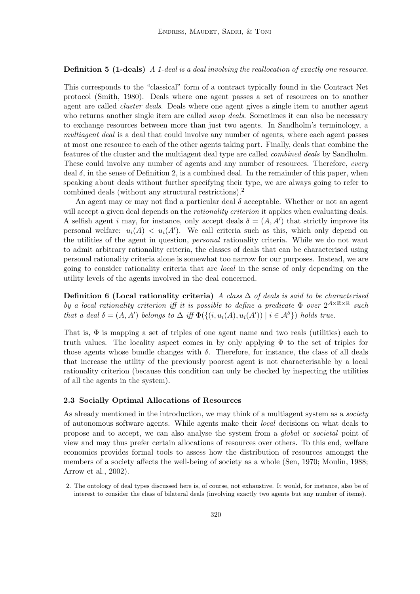# **Definition 5 (1-deals)** A 1-deal is a deal involving the reallocation of exactly one resource.

This corresponds to the "classical" form of a contract typically found in the Contract Net protocol (Smith, 1980). Deals where one agent passes a set of resources on to another agent are called cluster deals. Deals where one agent gives a single item to another agent who returns another single item are called *swap deals*. Sometimes it can also be necessary to exchange resources between more than just two agents. In Sandholm's terminology, a multiagent deal is a deal that could involve any number of agents, where each agent passes at most one resource to each of the other agents taking part. Finally, deals that combine the features of the cluster and the multiagent deal type are called combined deals by Sandholm. These could involve any number of agents and any number of resources. Therefore, every deal  $\delta$ , in the sense of Definition 2, is a combined deal. In the remainder of this paper, when speaking about deals without further specifying their type, we are always going to refer to combined deals (without any structural restrictions).<sup>2</sup>

An agent may or may not find a particular deal  $\delta$  acceptable. Whether or not an agent will accept a given deal depends on the *rationality criterion* it applies when evaluating deals. A selfish agent i may, for instance, only accept deals  $\delta = (A, A')$  that strictly improve its personal welfare:  $u_i(A) < u_i(A')$ . We call criteria such as this, which only depend on the utilities of the agent in question, personal rationality criteria. While we do not want to admit arbitrary rationality criteria, the classes of deals that can be characterised using personal rationality criteria alone is somewhat too narrow for our purposes. Instead, we are going to consider rationality criteria that are local in the sense of only depending on the utility levels of the agents involved in the deal concerned.

Definition 6 (Local rationality criteria) A class  $\Delta$  of deals is said to be characterised by a local rationality criterion iff it is possible to define a predicate  $\Phi$  over  $2^{\mathcal{A}\times\mathbb{R}\times\mathbb{R}}$  such that a deal  $\delta = (A, A')$  belongs to  $\Delta$  iff  $\Phi(\{(i, u_i(A), u_i(A')) \mid i \in A^{\delta}\})$  holds true.

That is,  $\Phi$  is mapping a set of triples of one agent name and two reals (utilities) each to truth values. The locality aspect comes in by only applying  $\Phi$  to the set of triples for those agents whose bundle changes with  $\delta$ . Therefore, for instance, the class of all deals that increase the utility of the previously poorest agent is not characterisable by a local rationality criterion (because this condition can only be checked by inspecting the utilities of all the agents in the system).

### 2.3 Socially Optimal Allocations of Resources

As already mentioned in the introduction, we may think of a multiagent system as a *society* of autonomous software agents. While agents make their local decisions on what deals to propose and to accept, we can also analyse the system from a global or societal point of view and may thus prefer certain allocations of resources over others. To this end, welfare economics provides formal tools to assess how the distribution of resources amongst the members of a society affects the well-being of society as a whole (Sen, 1970; Moulin, 1988; Arrow et al., 2002).

<sup>2.</sup> The ontology of deal types discussed here is, of course, not exhaustive. It would, for instance, also be of interest to consider the class of bilateral deals (involving exactly two agents but any number of items).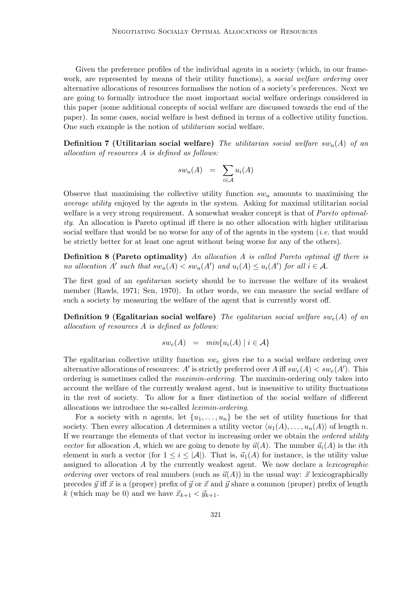Given the preference profiles of the individual agents in a society (which, in our framework, are represented by means of their utility functions), a *social welfare ordering* over alternative allocations of resources formalises the notion of a society's preferences. Next we are going to formally introduce the most important social welfare orderings considered in this paper (some additional concepts of social welfare are discussed towards the end of the paper). In some cases, social welfare is best defined in terms of a collective utility function. One such example is the notion of utilitarian social welfare.

**Definition 7 (Utilitarian social welfare)** The utilitarian social welfare sw<sub>u</sub>(A) of an allocation of resources A is defined as follows:

$$
sw_u(A) = \sum_{i \in \mathcal{A}} u_i(A)
$$

Observe that maximising the collective utility function  $sw_u$  amounts to maximising the average utility enjoyed by the agents in the system. Asking for maximal utilitarian social welfare is a very strong requirement. A somewhat weaker concept is that of *Pareto optimal*ity. An allocation is Pareto optimal iff there is no other allocation with higher utilitarian social welfare that would be no worse for any of of the agents in the system  $(i.e.$  that would be strictly better for at least one agent without being worse for any of the others).

Definition 8 (Pareto optimality) An allocation A is called Pareto optimal iff there is no allocation A' such that  $sw_u(A) < sw_u(A')$  and  $u_i(A) \leq u_i(A')$  for all  $i \in \mathcal{A}$ .

The first goal of an *equitarian* society should be to increase the welfare of its weakest member (Rawls, 1971; Sen, 1970). In other words, we can measure the social welfare of such a society by measuring the welfare of the agent that is currently worst off.

**Definition 9 (Egalitarian social welfare)** The equitarian social welfare swe(A) of an allocation of resources A is defined as follows:

$$
sw_e(A) = min{u_i(A) | i \in \mathcal{A}}
$$

The egalitarian collective utility function  $sw_e$  gives rise to a social welfare ordering over alternative allocations of resources: A' is strictly preferred over A iff  $sw_e(A) < sw_e(A')$ . This ordering is sometimes called the maximin-ordering. The maximin-ordering only takes into account the welfare of the currently weakest agent, but is insensitive to utility fluctuations in the rest of society. To allow for a finer distinction of the social welfare of different allocations we introduce the so-called leximin-ordering.

For a society with n agents, let  $\{u_1, \ldots, u_n\}$  be the set of utility functions for that society. Then every allocation A determines a utility vector  $\langle u_1(A), \ldots, u_n(A) \rangle$  of length n. If we rearrange the elements of that vector in increasing order we obtain the ordered utility vector for allocation A, which we are going to denote by  $\vec{u}(A)$ . The number  $\vec{u}_i(A)$  is the *i*th element in such a vector (for  $1 \leq i \leq |\mathcal{A}|$ ). That is,  $\vec{u}_1(A)$  for instance, is the utility value assigned to allocation A by the currently weakest agent. We now declare a lexicographic ordering over vectors of real numbers (such as  $\vec{u}(A)$ ) in the usual way:  $\vec{x}$  lexicographically precedes  $\vec{y}$  iff  $\vec{x}$  is a (proper) prefix of  $\vec{y}$  or  $\vec{x}$  and  $\vec{y}$  share a common (proper) prefix of length k (which may be 0) and we have  $\vec{x}_{k+1} < \vec{y}_{k+1}$ .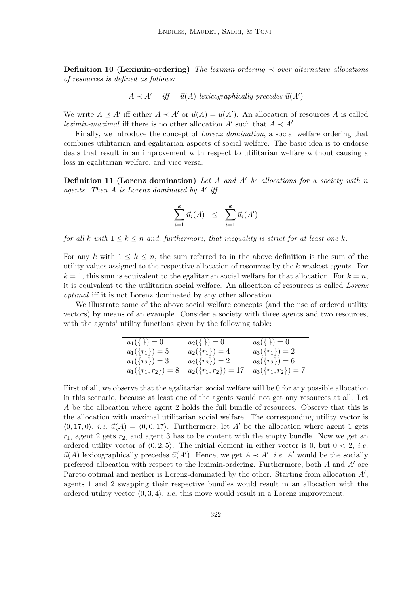Definition 10 (Leximin-ordering) The leximin-ordering  $\prec$  over alternative allocations of resources is defined as follows:

 $A \prec A'$  iff  $\vec{u}(A)$  lexicographically precedes  $\vec{u}(A')$ 

We write  $A \preceq A'$  iff either  $A \prec A'$  or  $\vec{u}(A) = \vec{u}(A')$ . An allocation of resources A is called *leximin-maximal* iff there is no other allocation  $A'$  such that  $A \prec A'$ .

Finally, we introduce the concept of Lorenz domination, a social welfare ordering that combines utilitarian and egalitarian aspects of social welfare. The basic idea is to endorse deals that result in an improvement with respect to utilitarian welfare without causing a loss in egalitarian welfare, and vice versa.

**Definition 11 (Lorenz domination)** Let  $A$  and  $A'$  be allocations for a society with  $n$ agents. Then  $A$  is Lorenz dominated by  $A'$  iff

$$
\sum_{i=1}^k \vec{u}_i(A) \leq \sum_{i=1}^k \vec{u}_i(A')
$$

for all k with  $1 \leq k \leq n$  and, furthermore, that inequality is strict for at least one k.

For any k with  $1 \leq k \leq n$ , the sum referred to in the above definition is the sum of the utility values assigned to the respective allocation of resources by the  $k$  weakest agents. For  $k = 1$ , this sum is equivalent to the egalitarian social welfare for that allocation. For  $k = n$ , it is equivalent to the utilitarian social welfare. An allocation of resources is called Lorenz optimal iff it is not Lorenz dominated by any other allocation.

We illustrate some of the above social welfare concepts (and the use of ordered utility vectors) by means of an example. Consider a society with three agents and two resources, with the agents' utility functions given by the following table:

| $u_1(\{\})=0$        | $u_2(\{\})=0$                        | $u_3(\{\})=0$                    |
|----------------------|--------------------------------------|----------------------------------|
| $u_1({r_1}) = 5$     | $u_2({r_1}) = 4$                     | $u_3({r_1})=2$                   |
| $u_1({r_2}) = 3$     | $u_2({r_2})=2$                       | $u_3({r_2})=6$                   |
| $u_1(\{r_1,r_2\})=8$ | $u_2(\lbrace r_1, r_2 \rbrace) = 17$ | $u_3(\lbrace r_1,r_2 \rbrace)=7$ |

First of all, we observe that the egalitarian social welfare will be 0 for any possible allocation in this scenario, because at least one of the agents would not get any resources at all. Let A be the allocation where agent 2 holds the full bundle of resources. Observe that this is the allocation with maximal utilitarian social welfare. The corresponding utility vector is  $\langle 0, 17, 0 \rangle$ , *i.e.*  $\vec{u}(A) = \langle 0, 0, 17 \rangle$ . Furthermore, let A' be the allocation where agent 1 gets  $r_1$ , agent 2 gets  $r_2$ , and agent 3 has to be content with the empty bundle. Now we get an ordered utility vector of  $(0, 2, 5)$ . The initial element in either vector is 0, but  $0 < 2$ , *i.e.*  $\vec{u}(A)$  lexicographically precedes  $\vec{u}(A')$ . Hence, we get  $A \prec A'$ , *i.e.* A' would be the socially preferred allocation with respect to the leximin-ordering. Furthermore, both A and  $A'$  are Pareto optimal and neither is Lorenz-dominated by the other. Starting from allocation  $A'$ , agents 1 and 2 swapping their respective bundles would result in an allocation with the ordered utility vector  $(0, 3, 4)$ , *i.e.* this move would result in a Lorenz improvement.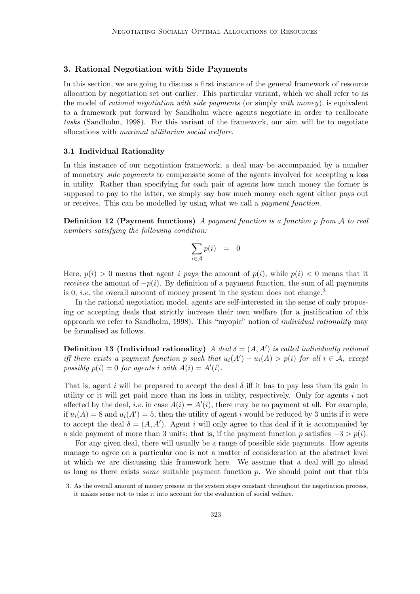# 3. Rational Negotiation with Side Payments

In this section, we are going to discuss a first instance of the general framework of resource allocation by negotiation set out earlier. This particular variant, which we shall refer to as the model of rational negotiation with side payments (or simply with money), is equivalent to a framework put forward by Sandholm where agents negotiate in order to reallocate tasks (Sandholm, 1998). For this variant of the framework, our aim will be to negotiate allocations with maximal utilitarian social welfare.

# 3.1 Individual Rationality

In this instance of our negotiation framework, a deal may be accompanied by a number of monetary side payments to compensate some of the agents involved for accepting a loss in utility. Rather than specifying for each pair of agents how much money the former is supposed to pay to the latter, we simply say how much money each agent either pays out or receives. This can be modelled by using what we call a payment function.

**Definition 12 (Payment functions)** A payment function is a function p from  $\mathcal A$  to real numbers satisfying the following condition:

$$
\sum_{i\in\mathcal{A}}p(i) \;\;=\;\; 0
$$

Here,  $p(i) > 0$  means that agent *i* pays the amount of  $p(i)$ , while  $p(i) < 0$  means that it receives the amount of  $-p(i)$ . By definition of a payment function, the sum of all payments is 0, *i.e.* the overall amount of money present in the system does not change.<sup>3</sup>

In the rational negotiation model, agents are self-interested in the sense of only proposing or accepting deals that strictly increase their own welfare (for a justification of this approach we refer to Sandholm, 1998). This "myopic" notion of individual rationality may be formalised as follows.

**Definition 13 (Individual rationality)** A deal  $\delta = (A, A')$  is called individually rational iff there exists a payment function p such that  $u_i(A') - u_i(A) > p(i)$  for all  $i \in A$ , except possibly  $p(i) = 0$  for agents i with  $A(i) = A'(i)$ .

That is, agent i will be prepared to accept the deal  $\delta$  iff it has to pay less than its gain in utility or it will get paid more than its loss in utility, respectively. Only for agents i not affected by the deal, *i.e.* in case  $A(i) = A'(i)$ , there may be no payment at all. For example, if  $u_i(A) = 8$  and  $u_i(A') = 5$ , then the utility of agent i would be reduced by 3 units if it were to accept the deal  $\delta = (A, A')$ . Agent i will only agree to this deal if it is accompanied by a side payment of more than 3 units; that is, if the payment function p satisfies  $-3 > p(i)$ .

For any given deal, there will usually be a range of possible side payments. How agents manage to agree on a particular one is not a matter of consideration at the abstract level at which we are discussing this framework here. We assume that a deal will go ahead as long as there exists *some* suitable payment function  $p$ . We should point out that this

<sup>3.</sup> As the overall amount of money present in the system stays constant throughout the negotiation process, it makes sense not to take it into account for the evaluation of social welfare.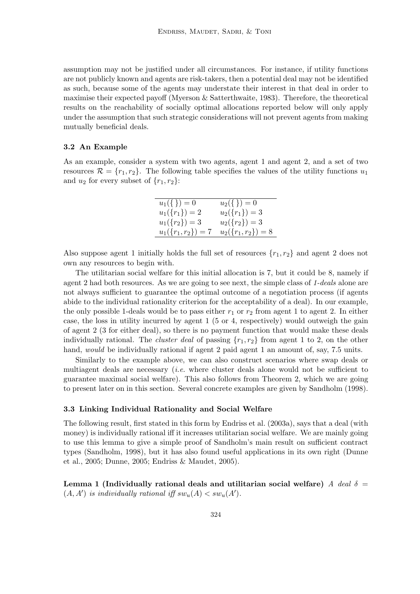assumption may not be justified under all circumstances. For instance, if utility functions are not publicly known and agents are risk-takers, then a potential deal may not be identified as such, because some of the agents may understate their interest in that deal in order to maximise their expected payoff (Myerson & Satterthwaite, 1983). Therefore, the theoretical results on the reachability of socially optimal allocations reported below will only apply under the assumption that such strategic considerations will not prevent agents from making mutually beneficial deals.

#### 3.2 An Example

As an example, consider a system with two agents, agent 1 and agent 2, and a set of two resources  $\mathcal{R} = \{r_1, r_2\}$ . The following table specifies the values of the utility functions  $u_1$ and  $u_2$  for every subset of  $\{r_1, r_2\}$ :

| $u_1(\{\})=0$      | $u_2(\{\})=0$      |
|--------------------|--------------------|
| $u_1({r_1}) = 2$   | $u_2({r_1})=3$     |
| $u_1({r_2}) = 3$   | $u_2({r_2})=3$     |
| $u_1({r_1,r_2})=7$ | $u_2({r_1,r_2})=8$ |

Also suppose agent 1 initially holds the full set of resources  $\{r_1, r_2\}$  and agent 2 does not own any resources to begin with.

The utilitarian social welfare for this initial allocation is 7, but it could be 8, namely if agent 2 had both resources. As we are going to see next, the simple class of 1-deals alone are not always sufficient to guarantee the optimal outcome of a negotiation process (if agents abide to the individual rationality criterion for the acceptability of a deal). In our example, the only possible 1-deals would be to pass either  $r_1$  or  $r_2$  from agent 1 to agent 2. In either case, the loss in utility incurred by agent 1 (5 or 4, respectively) would outweigh the gain of agent 2 (3 for either deal), so there is no payment function that would make these deals individually rational. The *cluster deal* of passing  $\{r_1, r_2\}$  from agent 1 to 2, on the other hand, would be individually rational if agent 2 paid agent 1 an amount of, say, 7.5 units.

Similarly to the example above, we can also construct scenarios where swap deals or multiagent deals are necessary *(i.e.* where cluster deals alone would not be sufficient to guarantee maximal social welfare). This also follows from Theorem 2, which we are going to present later on in this section. Several concrete examples are given by Sandholm (1998).

#### 3.3 Linking Individual Rationality and Social Welfare

The following result, first stated in this form by Endriss et al. (2003a), says that a deal (with money) is individually rational iff it increases utilitarian social welfare. We are mainly going to use this lemma to give a simple proof of Sandholm's main result on sufficient contract types (Sandholm, 1998), but it has also found useful applications in its own right (Dunne et al., 2005; Dunne, 2005; Endriss & Maudet, 2005).

Lemma 1 (Individually rational deals and utilitarian social welfare) A deal  $\delta =$  $(A, A')$  is individually rational iff  $sw_u(A) < sw_u(A')$ .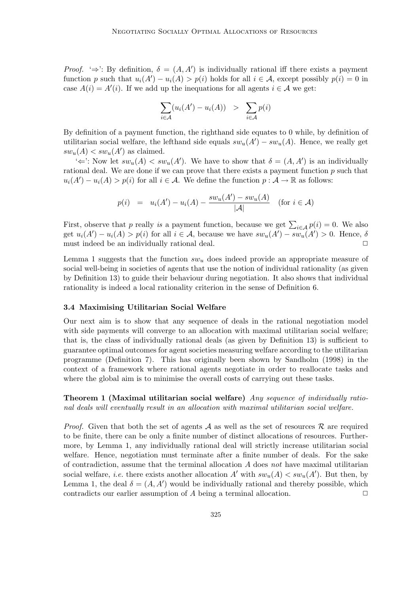*Proof.* ' $\Rightarrow$ ': By definition,  $\delta = (A, A')$  is individually rational iff there exists a payment function p such that  $u_i(A') - u_i(A) > p(i)$  holds for all  $i \in A$ , except possibly  $p(i) = 0$  in case  $A(i) = A'(i)$ . If we add up the inequations for all agents  $i \in \mathcal{A}$  we get:

$$
\sum_{i \in \mathcal{A}} (u_i(A') - u_i(A)) > \sum_{i \in \mathcal{A}} p(i)
$$

By definition of a payment function, the righthand side equates to 0 while, by definition of utilitarian social welfare, the lefthand side equals  $sw_u(A') - sw_u(A)$ . Hence, we really get  $sw_u(A) < sw_u(A')$  as claimed.

 $\iff$ : Now let  $sw_u(A) < sw_u(A')$ . We have to show that  $\delta = (A, A')$  is an individually rational deal. We are done if we can prove that there exists a payment function  $p$  such that  $u_i(A') - u_i(A) > p(i)$  for all  $i \in \mathcal{A}$ . We define the function  $p: \mathcal{A} \to \mathbb{R}$  as follows:

$$
p(i) = u_i(A') - u_i(A) - \frac{sw_u(A') - sw_u(A)}{|A|} \text{ (for } i \in A)
$$

First, observe that p really is a payment function, because we get  $\sum_{i \in A} p(i) = 0$ . We also get  $u_i(A') - u_i(A) > p(i)$  for all  $i \in \mathcal{A}$ , because we have  $sw_u(A') - sw_u(A') > 0$ . Hence,  $\delta$ must indeed be an individually rational deal.  $\Box$ 

Lemma 1 suggests that the function  $sw_u$  does indeed provide an appropriate measure of social well-being in societies of agents that use the notion of individual rationality (as given by Definition 13) to guide their behaviour during negotiation. It also shows that individual rationality is indeed a local rationality criterion in the sense of Definition 6.

# 3.4 Maximising Utilitarian Social Welfare

Our next aim is to show that any sequence of deals in the rational negotiation model with side payments will converge to an allocation with maximal utilitarian social welfare; that is, the class of individually rational deals (as given by Definition 13) is sufficient to guarantee optimal outcomes for agent societies measuring welfare according to the utilitarian programme (Definition 7). This has originally been shown by Sandholm (1998) in the context of a framework where rational agents negotiate in order to reallocate tasks and where the global aim is to minimise the overall costs of carrying out these tasks.

Theorem 1 (Maximal utilitarian social welfare) Any sequence of individually rational deals will eventually result in an allocation with maximal utilitarian social welfare.

*Proof.* Given that both the set of agents  $A$  as well as the set of resources  $R$  are required to be finite, there can be only a finite number of distinct allocations of resources. Furthermore, by Lemma 1, any individually rational deal will strictly increase utilitarian social welfare. Hence, negotiation must terminate after a finite number of deals. For the sake of contradiction, assume that the terminal allocation  $A$  does not have maximal utilitarian social welfare, *i.e.* there exists another allocation  $A'$  with  $sw_u(A) < sw_u(A')$ . But then, by Lemma 1, the deal  $\delta = (A, A')$  would be individually rational and thereby possible, which contradicts our earlier assumption of  $A$  being a terminal allocation.  $\square$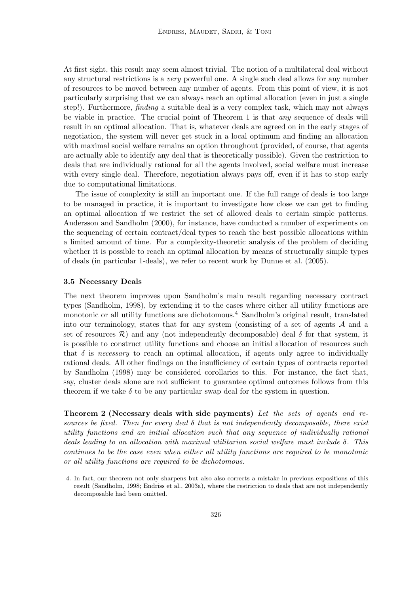At first sight, this result may seem almost trivial. The notion of a multilateral deal without any structural restrictions is a very powerful one. A single such deal allows for any number of resources to be moved between any number of agents. From this point of view, it is not particularly surprising that we can always reach an optimal allocation (even in just a single step!). Furthermore, finding a suitable deal is a very complex task, which may not always be viable in practice. The crucial point of Theorem 1 is that any sequence of deals will result in an optimal allocation. That is, whatever deals are agreed on in the early stages of negotiation, the system will never get stuck in a local optimum and finding an allocation with maximal social welfare remains an option throughout (provided, of course, that agents are actually able to identify any deal that is theoretically possible). Given the restriction to deals that are individually rational for all the agents involved, social welfare must increase with every single deal. Therefore, negotiation always pays off, even if it has to stop early due to computational limitations.

The issue of complexity is still an important one. If the full range of deals is too large to be managed in practice, it is important to investigate how close we can get to finding an optimal allocation if we restrict the set of allowed deals to certain simple patterns. Andersson and Sandholm (2000), for instance, have conducted a number of experiments on the sequencing of certain contract/deal types to reach the best possible allocations within a limited amount of time. For a complexity-theoretic analysis of the problem of deciding whether it is possible to reach an optimal allocation by means of structurally simple types of deals (in particular 1-deals), we refer to recent work by Dunne et al. (2005).

#### 3.5 Necessary Deals

The next theorem improves upon Sandholm's main result regarding necessary contract types (Sandholm, 1998), by extending it to the cases where either all utility functions are monotonic or all utility functions are dichotomous.<sup>4</sup> Sandholm's original result, translated into our terminology, states that for any system (consisting of a set of agents  $A$  and a set of resources  $\mathcal{R}$ ) and any (not independently decomposable) deal  $\delta$  for that system, it is possible to construct utility functions and choose an initial allocation of resources such that  $\delta$  is necessary to reach an optimal allocation, if agents only agree to individually rational deals. All other findings on the insufficiency of certain types of contracts reported by Sandholm (1998) may be considered corollaries to this. For instance, the fact that, say, cluster deals alone are not sufficient to guarantee optimal outcomes follows from this theorem if we take  $\delta$  to be any particular swap deal for the system in question.

Theorem 2 (Necessary deals with side payments) Let the sets of agents and resources be fixed. Then for every deal  $\delta$  that is not independently decomposable, there exist utility functions and an initial allocation such that any sequence of individually rational deals leading to an allocation with maximal utilitarian social welfare must include  $\delta$ . This continues to be the case even when either all utility functions are required to be monotonic or all utility functions are required to be dichotomous.

<sup>4.</sup> In fact, our theorem not only sharpens but also also corrects a mistake in previous expositions of this result (Sandholm, 1998; Endriss et al., 2003a), where the restriction to deals that are not independently decomposable had been omitted.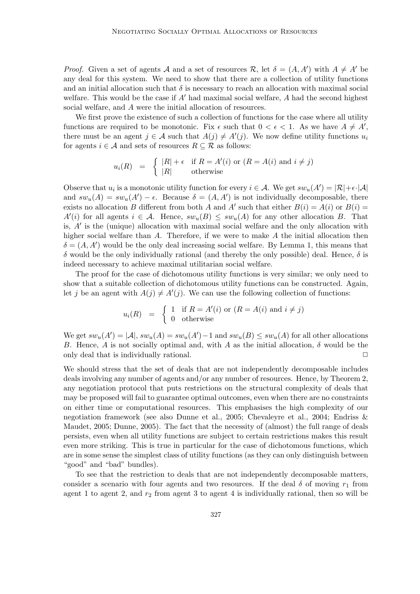*Proof.* Given a set of agents A and a set of resources R, let  $\delta = (A, A')$  with  $A \neq A'$  be any deal for this system. We need to show that there are a collection of utility functions and an initial allocation such that  $\delta$  is necessary to reach an allocation with maximal social welfare. This would be the case if  $A'$  had maximal social welfare,  $A$  had the second highest social welfare, and A were the initial allocation of resources.

We first prove the existence of such a collection of functions for the case where all utility functions are required to be monotonic. Fix  $\epsilon$  such that  $0 < \epsilon < 1$ . As we have  $A \neq A'$ , there must be an agent  $j \in \mathcal{A}$  such that  $A(j) \neq A'(j)$ . We now define utility functions  $u_i$ for agents  $i \in \mathcal{A}$  and sets of resources  $R \subseteq \mathcal{R}$  as follows:

$$
u_i(R) = \begin{cases} |R| + \epsilon & \text{if } R = A'(i) \text{ or } (R = A(i) \text{ and } i \neq j) \\ |R| & \text{otherwise} \end{cases}
$$

Observe that  $u_i$  is a monotonic utility function for every  $i \in \mathcal{A}$ . We get  $sw_u(A') = |\mathcal{R}| + \epsilon \cdot |\mathcal{A}|$ and  $sw_u(A) = sw_u(A') - \epsilon$ . Because  $\delta = (A, A')$  is not individually decomposable, there exists no allocation B different from both A and A' such that either  $B(i) = A(i)$  or  $B(i) =$  $A'(i)$  for all agents  $i \in \mathcal{A}$ . Hence,  $sw_u(B) \le sw_u(A)$  for any other allocation B. That is,  $A'$  is the (unique) allocation with maximal social welfare and the only allocation with higher social welfare than  $A$ . Therefore, if we were to make  $A$  the initial allocation then  $\delta = (A, A')$  would be the only deal increasing social welfare. By Lemma 1, this means that δ would be the only individually rational (and thereby the only possible) deal. Hence, δ is indeed necessary to achieve maximal utilitarian social welfare.

The proof for the case of dichotomous utility functions is very similar; we only need to show that a suitable collection of dichotomous utility functions can be constructed. Again, let j be an agent with  $A(j) \neq A'(j)$ . We can use the following collection of functions:

$$
u_i(R) = \begin{cases} 1 & \text{if } R = A'(i) \text{ or } (R = A(i) \text{ and } i \neq j) \\ 0 & \text{otherwise} \end{cases}
$$

We get  $sw_u(A') = |\mathcal{A}|$ ,  $sw_u(A) = sw_u(A') - 1$  and  $sw_u(B) \le sw_u(A)$  for all other allocations B. Hence, A is not socially optimal and, with A as the initial allocation,  $\delta$  would be the only deal that is individually rational.  $\Box$ 

We should stress that the set of deals that are not independently decomposable includes deals involving any number of agents and/or any number of resources. Hence, by Theorem 2, any negotiation protocol that puts restrictions on the structural complexity of deals that may be proposed will fail to guarantee optimal outcomes, even when there are no constraints on either time or computational resources. This emphasises the high complexity of our negotiation framework (see also Dunne et al., 2005; Chevaleyre et al., 2004; Endriss & Maudet, 2005; Dunne, 2005). The fact that the necessity of (almost) the full range of deals persists, even when all utility functions are subject to certain restrictions makes this result even more striking. This is true in particular for the case of dichotomous functions, which are in some sense the simplest class of utility functions (as they can only distinguish between "good" and "bad" bundles).

To see that the restriction to deals that are not independently decomposable matters, consider a scenario with four agents and two resources. If the deal  $\delta$  of moving  $r_1$  from agent 1 to agent 2, and  $r_2$  from agent 3 to agent 4 is individually rational, then so will be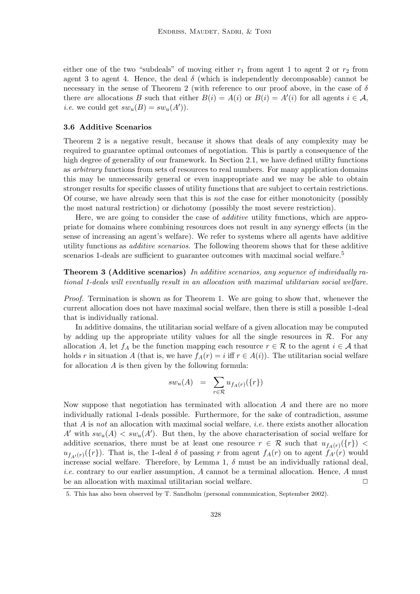either one of the two "subdeals" of moving either  $r_1$  from agent 1 to agent 2 or  $r_2$  from agent 3 to agent 4. Hence, the deal  $\delta$  (which is independently decomposable) cannot be necessary in the sense of Theorem 2 (with reference to our proof above, in the case of  $\delta$ there are allocations B such that either  $B(i) = A(i)$  or  $B(i) = A'(i)$  for all agents  $i \in \mathcal{A}$ , *i.e.* we could get  $sw_u(B) = sw_u(A')$ .

# 3.6 Additive Scenarios

Theorem 2 is a negative result, because it shows that deals of any complexity may be required to guarantee optimal outcomes of negotiation. This is partly a consequence of the high degree of generality of our framework. In Section 2.1, we have defined utility functions as arbitrary functions from sets of resources to real numbers. For many application domains this may be unnecessarily general or even inappropriate and we may be able to obtain stronger results for specific classes of utility functions that are subject to certain restrictions. Of course, we have already seen that this is not the case for either monotonicity (possibly the most natural restriction) or dichotomy (possibly the most severe restriction).

Here, we are going to consider the case of *additive* utility functions, which are appropriate for domains where combining resources does not result in any synergy effects (in the sense of increasing an agent's welfare). We refer to systems where all agents have additive utility functions as additive scenarios. The following theorem shows that for these additive scenarios 1-deals are sufficient to guarantee outcomes with maximal social welfare.<sup>5</sup>

Theorem 3 (Additive scenarios) In additive scenarios, any sequence of individually rational 1-deals will eventually result in an allocation with maximal utilitarian social welfare.

Proof. Termination is shown as for Theorem 1. We are going to show that, whenever the current allocation does not have maximal social welfare, then there is still a possible 1-deal that is individually rational.

In additive domains, the utilitarian social welfare of a given allocation may be computed by adding up the appropriate utility values for all the single resources in  $\mathcal{R}$ . For any allocation A, let  $f_A$  be the function mapping each resource  $r \in \mathcal{R}$  to the agent  $i \in \mathcal{A}$  that holds r in situation A (that is, we have  $f_A(r) = i$  iff  $r \in A(i)$ ). The utilitarian social welfare for allocation  $A$  is then given by the following formula:

$$
sw_u(A) = \sum_{r \in \mathcal{R}} u_{f_A(r)}(\{r\})
$$

Now suppose that negotiation has terminated with allocation  $A$  and there are no more individually rational 1-deals possible. Furthermore, for the sake of contradiction, assume that  $A$  is not an allocation with maximal social welfare, *i.e.* there exists another allocation A' with  $sw_u(A) < sw_u(A')$ . But then, by the above characterisation of social welfare for additive scenarios, there must be at least one resource  $r \in \mathcal{R}$  such that  $u_{f_A(r)}(\lbrace r \rbrace)$  <  $u_{f_{A'}(r)}(\lbrace r \rbrace)$ . That is, the 1-deal  $\delta$  of passing r from agent  $f_A(r)$  on to agent  $f_{A'}(r)$  would increase social welfare. Therefore, by Lemma 1,  $\delta$  must be an individually rational deal, *i.e.* contrary to our earlier assumption,  $\vec{A}$  cannot be a terminal allocation. Hence,  $\vec{A}$  must be an allocation with maximal utilitarian social welfare.  $\Box$ 

<sup>5.</sup> This has also been observed by T. Sandholm (personal communication, September 2002).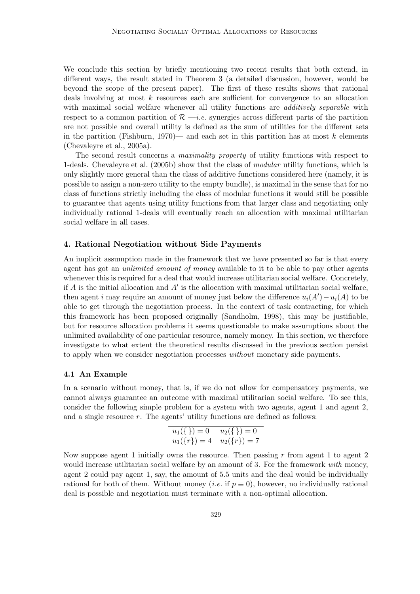We conclude this section by briefly mentioning two recent results that both extend, in different ways, the result stated in Theorem 3 (a detailed discussion, however, would be beyond the scope of the present paper). The first of these results shows that rational deals involving at most k resources each are sufficient for convergence to an allocation with maximal social welfare whenever all utility functions are *additively separable* with respect to a common partition of  $\mathcal{R}$  —*i.e.* synergies across different parts of the partition are not possible and overall utility is defined as the sum of utilities for the different sets in the partition (Fishburn, 1970)— and each set in this partition has at most  $k$  elements (Chevaleyre et al., 2005a).

The second result concerns a maximality property of utility functions with respect to 1-deals. Chevaleyre et al. (2005b) show that the class of modular utility functions, which is only slightly more general than the class of additive functions considered here (namely, it is possible to assign a non-zero utility to the empty bundle), is maximal in the sense that for no class of functions strictly including the class of modular functions it would still be possible to guarantee that agents using utility functions from that larger class and negotiating only individually rational 1-deals will eventually reach an allocation with maximal utilitarian social welfare in all cases.

# 4. Rational Negotiation without Side Payments

An implicit assumption made in the framework that we have presented so far is that every agent has got an unlimited amount of money available to it to be able to pay other agents whenever this is required for a deal that would increase utilitarian social welfare. Concretely, if  $A$  is the initial allocation and  $A'$  is the allocation with maximal utilitarian social welfare, then agent *i* may require an amount of money just below the difference  $u_i(A') - u_i(A)$  to be able to get through the negotiation process. In the context of task contracting, for which this framework has been proposed originally (Sandholm, 1998), this may be justifiable, but for resource allocation problems it seems questionable to make assumptions about the unlimited availability of one particular resource, namely money. In this section, we therefore investigate to what extent the theoretical results discussed in the previous section persist to apply when we consider negotiation processes without monetary side payments.

# 4.1 An Example

In a scenario without money, that is, if we do not allow for compensatory payments, we cannot always guarantee an outcome with maximal utilitarian social welfare. To see this, consider the following simple problem for a system with two agents, agent 1 and agent 2, and a single resource  $r$ . The agents' utility functions are defined as follows:

$$
u_1(\{\}) = 0
$$
  $u_2(\{\}) = 0$   
 $u_1(\{r\}) = 4$   $u_2(\{r\}) = 7$ 

Now suppose agent 1 initially owns the resource. Then passing  $r$  from agent 1 to agent 2 would increase utilitarian social welfare by an amount of 3. For the framework with money, agent 2 could pay agent 1, say, the amount of 5.5 units and the deal would be individually rational for both of them. Without money (*i.e.* if  $p \equiv 0$ ), however, no individually rational deal is possible and negotiation must terminate with a non-optimal allocation.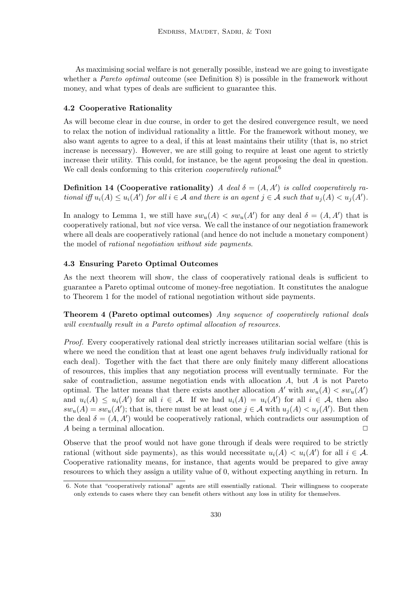As maximising social welfare is not generally possible, instead we are going to investigate whether a *Pareto optimal* outcome (see Definition 8) is possible in the framework without money, and what types of deals are sufficient to guarantee this.

#### 4.2 Cooperative Rationality

As will become clear in due course, in order to get the desired convergence result, we need to relax the notion of individual rationality a little. For the framework without money, we also want agents to agree to a deal, if this at least maintains their utility (that is, no strict increase is necessary). However, we are still going to require at least one agent to strictly increase their utility. This could, for instance, be the agent proposing the deal in question. We call deals conforming to this criterion *cooperatively rational.*<sup>6</sup>

**Definition 14 (Cooperative rationality)** A deal  $\delta = (A, A')$  is called cooperatively rational iff  $u_i(A) \leq u_i(A')$  for all  $i \in A$  and there is an agent  $j \in A$  such that  $u_j(A) < u_j(A')$ .

In analogy to Lemma 1, we still have  $sw_u(A) < sw_u(A')$  for any deal  $\delta = (A, A')$  that is cooperatively rational, but not vice versa. We call the instance of our negotiation framework where all deals are cooperatively rational (and hence do not include a monetary component) the model of rational negotiation without side payments.

### 4.3 Ensuring Pareto Optimal Outcomes

As the next theorem will show, the class of cooperatively rational deals is sufficient to guarantee a Pareto optimal outcome of money-free negotiation. It constitutes the analogue to Theorem 1 for the model of rational negotiation without side payments.

Theorem 4 (Pareto optimal outcomes) Any sequence of cooperatively rational deals will eventually result in a Pareto optimal allocation of resources.

Proof. Every cooperatively rational deal strictly increases utilitarian social welfare (this is where we need the condition that at least one agent behaves *truly* individually rational for each deal). Together with the fact that there are only finitely many different allocations of resources, this implies that any negotiation process will eventually terminate. For the sake of contradiction, assume negotiation ends with allocation A, but A is not Pareto optimal. The latter means that there exists another allocation  $A'$  with  $sw_u(A) < sw_u(A')$ and  $u_i(A) \leq u_i(A')$  for all  $i \in \mathcal{A}$ . If we had  $u_i(A) = u_i(A')$  for all  $i \in \mathcal{A}$ , then also  $sw_u(A) = sw_u(A')$ ; that is, there must be at least one  $j \in A$  with  $u_j(A) < u_j(A')$ . But then the deal  $\delta = (A, A')$  would be cooperatively rational, which contradicts our assumption of A being a terminal allocation.  $\Box$ 

Observe that the proof would not have gone through if deals were required to be strictly rational (without side payments), as this would necessitate  $u_i(A) < u_i(A')$  for all  $i \in \mathcal{A}$ . Cooperative rationality means, for instance, that agents would be prepared to give away resources to which they assign a utility value of 0, without expecting anything in return. In

<sup>6.</sup> Note that "cooperatively rational" agents are still essentially rational. Their willingness to cooperate only extends to cases where they can benefit others without any loss in utility for themselves.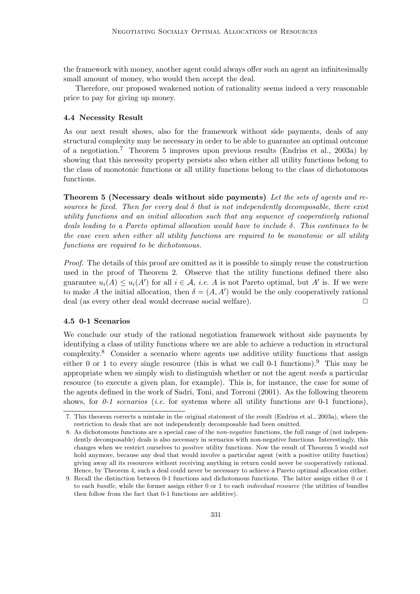the framework with money, another agent could always offer such an agent an infinitesimally small amount of money, who would then accept the deal.

Therefore, our proposed weakened notion of rationality seems indeed a very reasonable price to pay for giving up money.

#### 4.4 Necessity Result

As our next result shows, also for the framework without side payments, deals of any structural complexity may be necessary in order to be able to guarantee an optimal outcome of a negotiation.<sup>7</sup> Theorem 5 improves upon previous results (Endriss et al., 2003a) by showing that this necessity property persists also when either all utility functions belong to the class of monotonic functions or all utility functions belong to the class of dichotomous functions.

Theorem 5 (Necessary deals without side payments) Let the sets of agents and resources be fixed. Then for every deal  $\delta$  that is not independently decomposable, there exist utility functions and an initial allocation such that any sequence of cooperatively rational deals leading to a Pareto optimal allocation would have to include  $\delta$ . This continues to be the case even when either all utility functions are required to be monotonic or all utility functions are required to be dichotomous.

Proof. The details of this proof are omitted as it is possible to simply reuse the construction used in the proof of Theorem 2. Observe that the utility functions defined there also guarantee  $u_i(A) \leq u_i(A')$  for all  $i \in \mathcal{A}$ , *i.e.* A is not Pareto optimal, but A' is. If we were to make A the initial allocation, then  $\delta = (A, A')$  would be the only cooperatively rational deal (as every other deal would decrease social welfare).  $\Box$ 

# 4.5 0-1 Scenarios

We conclude our study of the rational negotiation framework without side payments by identifying a class of utility functions where we are able to achieve a reduction in structural complexity.<sup>8</sup> Consider a scenario where agents use additive utility functions that assign either 0 or 1 to every single resource (this is what we call 0-1 functions).<sup>9</sup> This may be appropriate when we simply wish to distinguish whether or not the agent needs a particular resource (to execute a given plan, for example). This is, for instance, the case for some of the agents defined in the work of Sadri, Toni, and Torroni (2001). As the following theorem shows, for  $0-1$  scenarios (i.e. for systems where all utility functions are 0-1 functions),

<sup>7.</sup> This theorem corrects a mistake in the original statement of the result (Endriss et al., 2003a), where the restriction to deals that are not independently decomposable had been omitted.

<sup>8.</sup> As dichotomous functions are a special case of the non-negative functions, the full range of (not independently decomposable) deals is also necessary in scenarios with non-negative functions. Interestingly, this changes when we restrict ourselves to positive utility functions. Now the result of Theorem 5 would not hold anymore, because any deal that would involve a particular agent (with a positive utility function) giving away all its resources without receiving anything in return could never be cooperatively rational. Hence, by Theorem 4, such a deal could never be necessary to achieve a Pareto optimal allocation either.

<sup>9.</sup> Recall the distinction between 0-1 functions and dichotomous functions. The latter assign either 0 or 1 to each *bundle*, while the former assign either 0 or 1 to each *individual resource* (the utilities of bundles then follow from the fact that 0-1 functions are additive).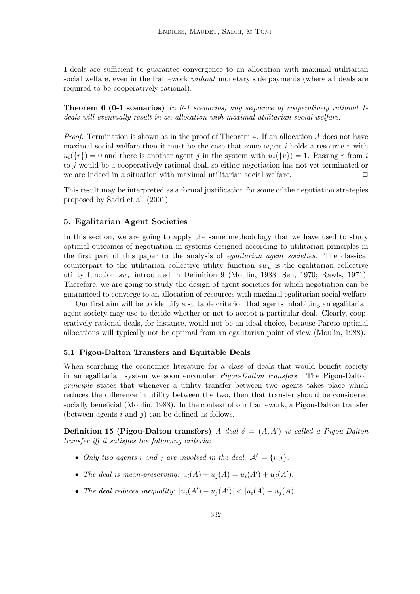1-deals are sufficient to guarantee convergence to an allocation with maximal utilitarian social welfare, even in the framework *without* monetary side payments (where all deals are required to be cooperatively rational).

**Theorem 6 (0-1 scenarios)** In 0-1 scenarios, any sequence of cooperatively rational 1deals will eventually result in an allocation with maximal utilitarian social welfare.

*Proof.* Termination is shown as in the proof of Theorem 4. If an allocation  $\vec{A}$  does not have maximal social welfare then it must be the case that some agent  $i$  holds a resource  $r$  with  $u_i({r}) = 0$  and there is another agent j in the system with  $u_i({r}) = 1$ . Passing r from i to j would be a cooperatively rational deal, so either negotiation has not yet terminated or we are indeed in a situation with maximal utilitarian social welfare.  $\Box$ 

This result may be interpreted as a formal justification for some of the negotiation strategies proposed by Sadri et al. (2001).

# 5. Egalitarian Agent Societies

In this section, we are going to apply the same methodology that we have used to study optimal outcomes of negotiation in systems designed according to utilitarian principles in the first part of this paper to the analysis of egalitarian agent societies. The classical counterpart to the utilitarian collective utility function  $sw_u$  is the egalitarian collective utility function  $sw_e$  introduced in Definition 9 (Moulin, 1988; Sen, 1970; Rawls, 1971). Therefore, we are going to study the design of agent societies for which negotiation can be guaranteed to converge to an allocation of resources with maximal egalitarian social welfare.

Our first aim will be to identify a suitable criterion that agents inhabiting an egalitarian agent society may use to decide whether or not to accept a particular deal. Clearly, cooperatively rational deals, for instance, would not be an ideal choice, because Pareto optimal allocations will typically not be optimal from an egalitarian point of view (Moulin, 1988).

# 5.1 Pigou-Dalton Transfers and Equitable Deals

When searching the economics literature for a class of deals that would benefit society in an egalitarian system we soon encounter Pigou-Dalton transfers. The Pigou-Dalton principle states that whenever a utility transfer between two agents takes place which reduces the difference in utility between the two, then that transfer should be considered socially beneficial (Moulin, 1988). In the context of our framework, a Pigou-Dalton transfer (between agents  $i$  and  $j$ ) can be defined as follows.

Definition 15 (Pigou-Dalton transfers) A deal  $\delta = (A, A')$  is called a Pigou-Dalton transfer iff it satisfies the following criteria:

- Only two agents i and j are involved in the deal:  $A^{\delta} = \{i, j\}$ .
- The deal is mean-preserving:  $u_i(A) + u_j(A) = u_i(A') + u_j(A')$ .
- The deal reduces inequality:  $|u_i(A') u_j(A')| < |u_i(A) u_j(A)|$ .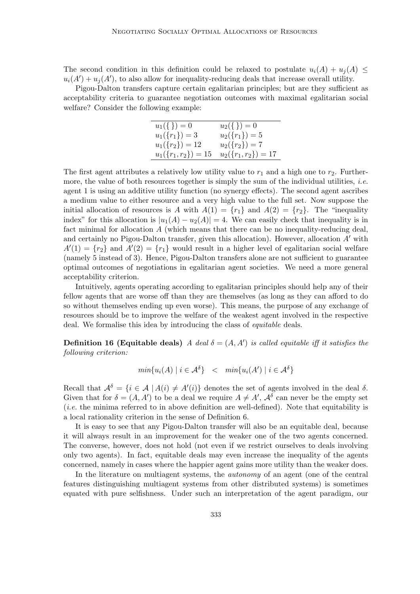The second condition in this definition could be relaxed to postulate  $u_i(A) + u_j(A) \leq$  $u_i(A') + u_j(A')$ , to also allow for inequality-reducing deals that increase overall utility.

Pigou-Dalton transfers capture certain egalitarian principles; but are they sufficient as acceptability criteria to guarantee negotiation outcomes with maximal egalitarian social welfare? Consider the following example:

| $u_1(\{\})=0$         | $u_2(\{\})=0$                     |
|-----------------------|-----------------------------------|
| $u_1({r_1}) = 3$      | $u_2({r_1})=5$                    |
| $u_1({r_2}) = 12$     | $u_2({r_2})=7$                    |
| $u_1({r_1,r_2}) = 15$ | $u_2(\lbrace r_1,r_2 \rbrace)=17$ |

The first agent attributes a relatively low utility value to  $r_1$  and a high one to  $r_2$ . Furthermore, the value of both resources together is simply the sum of the individual utilities, *i.e.* agent 1 is using an additive utility function (no synergy effects). The second agent ascribes a medium value to either resource and a very high value to the full set. Now suppose the initial allocation of resources is A with  $A(1) = \{r_1\}$  and  $A(2) = \{r_2\}$ . The "inequality index" for this allocation is  $|u_1(A) - u_2(A)| = 4$ . We can easily check that inequality is in fact minimal for allocation A (which means that there can be no inequality-reducing deal, and certainly no Pigou-Dalton transfer, given this allocation). However, allocation  $A'$  with  $A'(1) = \{r_2\}$  and  $A'(2) = \{r_1\}$  would result in a higher level of egalitarian social welfare (namely 5 instead of 3). Hence, Pigou-Dalton transfers alone are not sufficient to guarantee optimal outcomes of negotiations in egalitarian agent societies. We need a more general acceptability criterion.

Intuitively, agents operating according to egalitarian principles should help any of their fellow agents that are worse off than they are themselves (as long as they can afford to do so without themselves ending up even worse). This means, the purpose of any exchange of resources should be to improve the welfare of the weakest agent involved in the respective deal. We formalise this idea by introducing the class of equitable deals.

**Definition 16 (Equitable deals)** A deal  $\delta = (A, A')$  is called equitable iff it satisfies the following criterion:

$$
min\{u_i(A) \mid i \in A^{\delta}\} < min\{u_i(A') \mid i \in A^{\delta}\}\
$$

Recall that  $A^{\delta} = \{i \in A \mid A(i) \neq A'(i)\}\$  denotes the set of agents involved in the deal  $\delta$ . Given that for  $\delta = (A, A')$  to be a deal we require  $A \neq A'$ ,  $A^{\delta}$  can never be the empty set (i.e. the minima referred to in above definition are well-defined). Note that equitability is a local rationality criterion in the sense of Definition 6.

It is easy to see that any Pigou-Dalton transfer will also be an equitable deal, because it will always result in an improvement for the weaker one of the two agents concerned. The converse, however, does not hold (not even if we restrict ourselves to deals involving only two agents). In fact, equitable deals may even increase the inequality of the agents concerned, namely in cases where the happier agent gains more utility than the weaker does.

In the literature on multiagent systems, the autonomy of an agent (one of the central features distinguishing multiagent systems from other distributed systems) is sometimes equated with pure selfishness. Under such an interpretation of the agent paradigm, our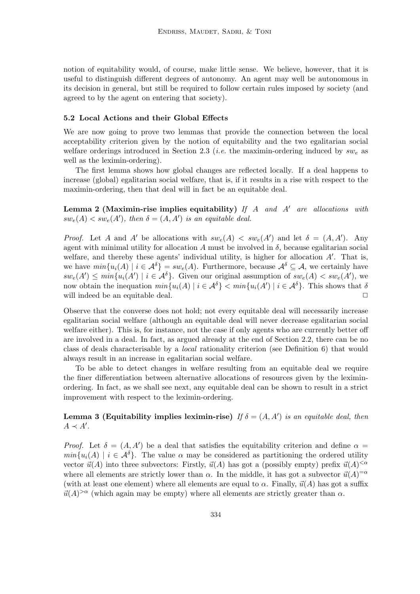notion of equitability would, of course, make little sense. We believe, however, that it is useful to distinguish different degrees of autonomy. An agent may well be autonomous in its decision in general, but still be required to follow certain rules imposed by society (and agreed to by the agent on entering that society).

### 5.2 Local Actions and their Global Effects

We are now going to prove two lemmas that provide the connection between the local acceptability criterion given by the notion of equitability and the two egalitarian social welfare orderings introduced in Section 2.3 (*i.e.* the maximin-ordering induced by  $sw_e$  as well as the leximin-ordering).

The first lemma shows how global changes are reflected locally. If a deal happens to increase (global) egalitarian social welfare, that is, if it results in a rise with respect to the maximin-ordering, then that deal will in fact be an equitable deal.

**Lemma 2 (Maximin-rise implies equitability)** If A and A' are allocations with  $sw_e(A) < sw_e(A')$ , then  $\delta = (A, A')$  is an equitable deal.

*Proof.* Let A and A' be allocations with  $sw_e(A) < sw_e(A')$  and let  $\delta = (A, A')$ . Any agent with minimal utility for allocation A must be involved in  $\delta$ , because egalitarian social welfare, and thereby these agents' individual utility, is higher for allocation  $A'$ . That is, we have  $min\{u_i(A) \mid i \in \mathcal{A}^{\delta}\} = sw_e(A)$ . Furthermore, because  $\mathcal{A}^{\delta} \subseteq \mathcal{A}$ , we certainly have  $sw_e(A') \leq min\{u_i(A') \mid i \in \mathcal{A}^{\delta}\}\$ . Given our original assumption of  $sw_e(A) < sw_e(A')$ , we now obtain the inequation  $min\{u_i(A) | i \in \mathcal{A}^{\delta}\}\$   $min\{u_i(A') | i \in \mathcal{A}^{\delta}\}\$ . This shows that  $\delta$ will indeed be an equitable deal.  $\Box$ 

Observe that the converse does not hold; not every equitable deal will necessarily increase egalitarian social welfare (although an equitable deal will never decrease egalitarian social welfare either). This is, for instance, not the case if only agents who are currently better off are involved in a deal. In fact, as argued already at the end of Section 2.2, there can be no class of deals characterisable by a local rationality criterion (see Definition 6) that would always result in an increase in egalitarian social welfare.

To be able to detect changes in welfare resulting from an equitable deal we require the finer differentiation between alternative allocations of resources given by the leximinordering. In fact, as we shall see next, any equitable deal can be shown to result in a strict improvement with respect to the leximin-ordering.

Lemma 3 (Equitability implies leximin-rise) If  $\delta = (A, A')$  is an equitable deal, then  $A \prec A'$ .

*Proof.* Let  $\delta = (A, A')$  be a deal that satisfies the equitability criterion and define  $\alpha =$  $min\{u_i(A) \mid i \in \mathcal{A}^{\delta}\}\$ . The value  $\alpha$  may be considered as partitioning the ordered utility vector  $\vec{u}(A)$  into three subvectors: Firstly,  $\vec{u}(A)$  has got a (possibly empty) prefix  $\vec{u}(A)^{<\alpha}$ where all elements are strictly lower than  $\alpha$ . In the middle, it has got a subvector  $\vec{u}(A)^{=\alpha}$ (with at least one element) where all elements are equal to  $\alpha$ . Finally,  $\vec{u}(A)$  has got a suffix  $\vec{u}(A)^{>\alpha}$  (which again may be empty) where all elements are strictly greater than  $\alpha$ .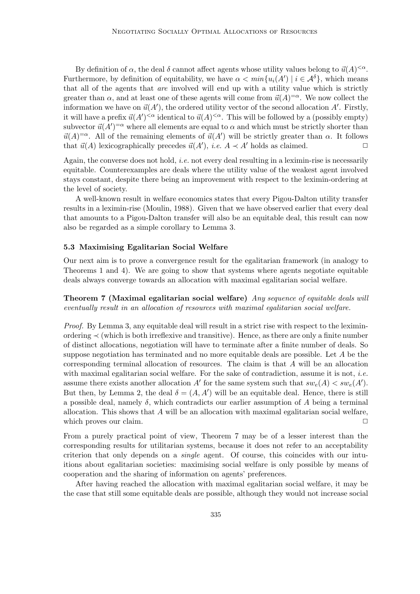By definition of  $\alpha$ , the deal  $\delta$  cannot affect agents whose utility values belong to  $\vec{u}(A)^{<\alpha}$ . Furthermore, by definition of equitability, we have  $\alpha < min\{u_i(A') \mid i \in \mathcal{A}^{\delta}\}\)$ , which means that all of the agents that are involved will end up with a utility value which is strictly greater than  $\alpha$ , and at least one of these agents will come from  $\vec{u}(A)^{=\alpha}$ . We now collect the information we have on  $\vec{u}(A')$ , the ordered utility vector of the second allocation A'. Firstly, it will have a prefix  $\vec{u}(A')^{<\alpha}$  identical to  $\vec{u}(A)^{<\alpha}$ . This will be followed by a (possibly empty) subvector  $\vec{u}(A')^{=\alpha}$  where all elements are equal to  $\alpha$  and which must be strictly shorter than  $\vec{u}(A)^{=\alpha}$ . All of the remaining elements of  $\vec{u}(A')$  will be strictly greater than  $\alpha$ . It follows that  $\vec{u}(A)$  lexicographically precedes  $\vec{u}(A')$ , *i.e.*  $A \prec A'$  holds as claimed.

Again, the converse does not hold, *i.e.* not every deal resulting in a leximin-rise is necessarily equitable. Counterexamples are deals where the utility value of the weakest agent involved stays constant, despite there being an improvement with respect to the leximin-ordering at the level of society.

A well-known result in welfare economics states that every Pigou-Dalton utility transfer results in a leximin-rise (Moulin, 1988). Given that we have observed earlier that every deal that amounts to a Pigou-Dalton transfer will also be an equitable deal, this result can now also be regarded as a simple corollary to Lemma 3.

#### 5.3 Maximising Egalitarian Social Welfare

Our next aim is to prove a convergence result for the egalitarian framework (in analogy to Theorems 1 and 4). We are going to show that systems where agents negotiate equitable deals always converge towards an allocation with maximal egalitarian social welfare.

Theorem 7 (Maximal egalitarian social welfare) Any sequence of equitable deals will eventually result in an allocation of resources with maximal egalitarian social welfare.

Proof. By Lemma 3, any equitable deal will result in a strict rise with respect to the leximinordering ≺ (which is both irreflexive and transitive). Hence, as there are only a finite number of distinct allocations, negotiation will have to terminate after a finite number of deals. So suppose negotiation has terminated and no more equitable deals are possible. Let A be the corresponding terminal allocation of resources. The claim is that A will be an allocation with maximal egalitarian social welfare. For the sake of contradiction, assume it is not, *i.e.* assume there exists another allocation A' for the same system such that  $sw_e(A) < sw_e(A')$ . But then, by Lemma 2, the deal  $\delta = (A, A')$  will be an equitable deal. Hence, there is still a possible deal, namely  $\delta$ , which contradicts our earlier assumption of A being a terminal allocation. This shows that  $A$  will be an allocation with maximal egalitarian social welfare, which proves our claim.  $\Box$ 

From a purely practical point of view, Theorem 7 may be of a lesser interest than the corresponding results for utilitarian systems, because it does not refer to an acceptability criterion that only depends on a single agent. Of course, this coincides with our intuitions about egalitarian societies: maximising social welfare is only possible by means of cooperation and the sharing of information on agents' preferences.

After having reached the allocation with maximal egalitarian social welfare, it may be the case that still some equitable deals are possible, although they would not increase social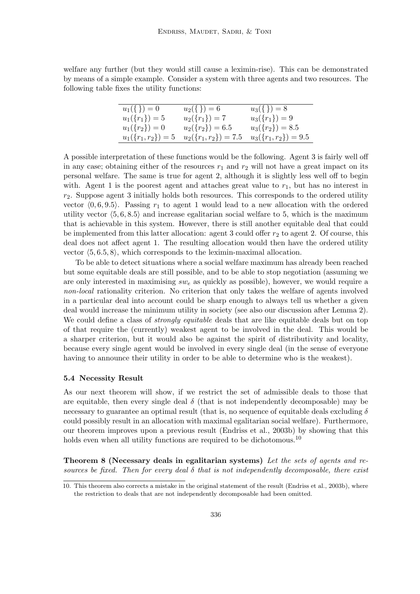welfare any further (but they would still cause a leximin-rise). This can be demonstrated by means of a simple example. Consider a system with three agents and two resources. The following table fixes the utility functions:

| $u_1(\{\})=0$                  | $u_2(\{\})=6$          | $u_3(\{\})=8$          |
|--------------------------------|------------------------|------------------------|
| $u_1({r_1}) = 5$               | $u_2({r_1})=7$         | $u_3({r_1})=9$         |
| $u_1(\lbrace r_2 \rbrace) = 0$ | $u_2({r_2}) = 6.5$     | $u_3({r_2}) = 8.5$     |
| $u_1({r_1,r_2})=5$             | $u_2({r_1,r_2}) = 7.5$ | $u_3({r_1,r_2}) = 9.5$ |

A possible interpretation of these functions would be the following. Agent 3 is fairly well off in any case; obtaining either of the resources  $r_1$  and  $r_2$  will not have a great impact on its personal welfare. The same is true for agent 2, although it is slightly less well off to begin with. Agent 1 is the poorest agent and attaches great value to  $r_1$ , but has no interest in  $r<sub>2</sub>$ . Suppose agent 3 initially holds both resources. This corresponds to the ordered utility vector  $(0, 6, 9.5)$ . Passing  $r_1$  to agent 1 would lead to a new allocation with the ordered utility vector  $\langle 5, 6, 8.5 \rangle$  and increase egalitarian social welfare to 5, which is the maximum that is achievable in this system. However, there is still another equitable deal that could be implemented from this latter allocation: agent 3 could offer  $r_2$  to agent 2. Of course, this deal does not affect agent 1. The resulting allocation would then have the ordered utility vector  $\langle 5, 6.5, 8 \rangle$ , which corresponds to the leximin-maximal allocation.

To be able to detect situations where a social welfare maximum has already been reached but some equitable deals are still possible, and to be able to stop negotiation (assuming we are only interested in maximising  $sw_e$  as quickly as possible), however, we would require a non-local rationality criterion. No criterion that only takes the welfare of agents involved in a particular deal into account could be sharp enough to always tell us whether a given deal would increase the minimum utility in society (see also our discussion after Lemma 2). We could define a class of *strongly equitable* deals that are like equitable deals but on top of that require the (currently) weakest agent to be involved in the deal. This would be a sharper criterion, but it would also be against the spirit of distributivity and locality, because every single agent would be involved in every single deal (in the sense of everyone having to announce their utility in order to be able to determine who is the weakest).

#### 5.4 Necessity Result

As our next theorem will show, if we restrict the set of admissible deals to those that are equitable, then every single deal  $\delta$  (that is not independently decomposable) may be necessary to guarantee an optimal result (that is, no sequence of equitable deals excluding  $\delta$ could possibly result in an allocation with maximal egalitarian social welfare). Furthermore, our theorem improves upon a previous result (Endriss et al., 2003b) by showing that this holds even when all utility functions are required to be dichotomous.<sup>10</sup>

Theorem 8 (Necessary deals in egalitarian systems) Let the sets of agents and resources be fixed. Then for every deal  $\delta$  that is not independently decomposable, there exist

<sup>10.</sup> This theorem also corrects a mistake in the original statement of the result (Endriss et al., 2003b), where the restriction to deals that are not independently decomposable had been omitted.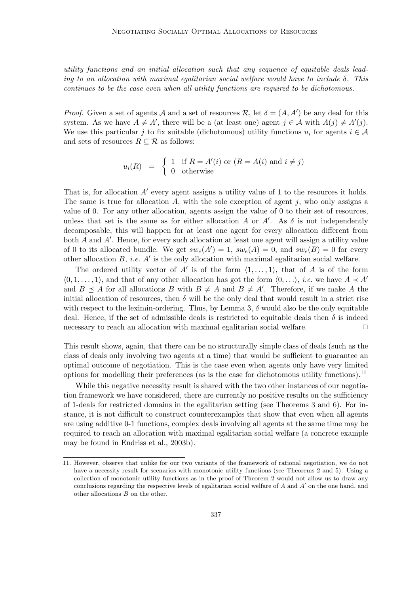utility functions and an initial allocation such that any sequence of equitable deals leading to an allocation with maximal egalitarian social welfare would have to include  $\delta$ . This continues to be the case even when all utility functions are required to be dichotomous.

*Proof.* Given a set of agents A and a set of resources R, let  $\delta = (A, A')$  be any deal for this system. As we have  $A \neq A'$ , there will be a (at least one) agent  $j \in A$  with  $A(j) \neq A'(j)$ . We use this particular j to fix suitable (dichotomous) utility functions  $u_i$  for agents  $i \in \mathcal{A}$ and sets of resources  $R \subseteq \mathcal{R}$  as follows:

$$
u_i(R) = \begin{cases} 1 & \text{if } R = A'(i) \text{ or } (R = A(i) \text{ and } i \neq j) \\ 0 & \text{otherwise} \end{cases}
$$

That is, for allocation  $A'$  every agent assigns a utility value of 1 to the resources it holds. The same is true for allocation A, with the sole exception of agent  $j$ , who only assigns a value of 0. For any other allocation, agents assign the value of 0 to their set of resources, unless that set is the same as for either allocation A or  $A'$ . As  $\delta$  is not independently decomposable, this will happen for at least one agent for every allocation different from both  $A$  and  $A'$ . Hence, for every such allocation at least one agent will assign a utility value of 0 to its allocated bundle. We get  $sw_e(A') = 1$ ,  $sw_e(A) = 0$ , and  $sw_e(B) = 0$  for every other allocation  $B$ , *i.e.*  $A'$  is the only allocation with maximal egalitarian social welfare.

The ordered utility vector of A' is of the form  $\langle 1, \ldots, 1 \rangle$ , that of A is of the form  $\langle 0, 1, \ldots, 1 \rangle$ , and that of any other allocation has got the form  $\langle 0, \ldots \rangle$ , *i.e.* we have  $A \prec A'$ and  $B \preceq A$  for all allocations B with  $B \neq A$  and  $B \neq A'$ . Therefore, if we make A the initial allocation of resources, then  $\delta$  will be the only deal that would result in a strict rise with respect to the leximin-ordering. Thus, by Lemma 3,  $\delta$  would also be the only equitable deal. Hence, if the set of admissible deals is restricted to equitable deals then  $\delta$  is indeed necessary to reach an allocation with maximal egalitarian social welfare.  $\Box$ 

This result shows, again, that there can be no structurally simple class of deals (such as the class of deals only involving two agents at a time) that would be sufficient to guarantee an optimal outcome of negotiation. This is the case even when agents only have very limited options for modelling their preferences (as is the case for dichotomous utility functions).<sup>11</sup>

While this negative necessity result is shared with the two other instances of our negotiation framework we have considered, there are currently no positive results on the sufficiency of 1-deals for restricted domains in the egalitarian setting (see Theorems 3 and 6). For instance, it is not difficult to construct counterexamples that show that even when all agents are using additive 0-1 functions, complex deals involving all agents at the same time may be required to reach an allocation with maximal egalitarian social welfare (a concrete example may be found in Endriss et al., 2003b).

<sup>11.</sup> However, observe that unlike for our two variants of the framework of rational negotiation, we do not have a necessity result for scenarios with monotonic utility functions (see Theorems 2 and 5). Using a collection of monotonic utility functions as in the proof of Theorem 2 would not allow us to draw any conclusions regarding the respective levels of egalitarian social welfare of  $A$  and  $A'$  on the one hand, and other allocations B on the other.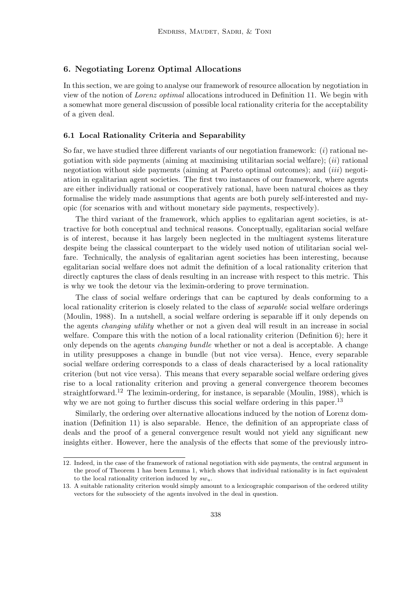# 6. Negotiating Lorenz Optimal Allocations

In this section, we are going to analyse our framework of resource allocation by negotiation in view of the notion of Lorenz optimal allocations introduced in Definition 11. We begin with a somewhat more general discussion of possible local rationality criteria for the acceptability of a given deal.

# 6.1 Local Rationality Criteria and Separability

So far, we have studied three different variants of our negotiation framework: *(i)* rational negotiation with side payments (aiming at maximising utilitarian social welfare);  $(ii)$  rational negotiation without side payments (aiming at Pareto optimal outcomes); and  $(iii)$  negotiation in egalitarian agent societies. The first two instances of our framework, where agents are either individually rational or cooperatively rational, have been natural choices as they formalise the widely made assumptions that agents are both purely self-interested and myopic (for scenarios with and without monetary side payments, respectively).

The third variant of the framework, which applies to egalitarian agent societies, is attractive for both conceptual and technical reasons. Conceptually, egalitarian social welfare is of interest, because it has largely been neglected in the multiagent systems literature despite being the classical counterpart to the widely used notion of utilitarian social welfare. Technically, the analysis of egalitarian agent societies has been interesting, because egalitarian social welfare does not admit the definition of a local rationality criterion that directly captures the class of deals resulting in an increase with respect to this metric. This is why we took the detour via the leximin-ordering to prove termination.

The class of social welfare orderings that can be captured by deals conforming to a local rationality criterion is closely related to the class of *separable* social welfare orderings (Moulin, 1988). In a nutshell, a social welfare ordering is separable iff it only depends on the agents changing utility whether or not a given deal will result in an increase in social welfare. Compare this with the notion of a local rationality criterion (Definition 6); here it only depends on the agents changing bundle whether or not a deal is acceptable. A change in utility presupposes a change in bundle (but not vice versa). Hence, every separable social welfare ordering corresponds to a class of deals characterised by a local rationality criterion (but not vice versa). This means that every separable social welfare ordering gives rise to a local rationality criterion and proving a general convergence theorem becomes straightforward.<sup>12</sup> The leximin-ordering, for instance, is separable (Moulin, 1988), which is why we are not going to further discuss this social welfare ordering in this paper.<sup>13</sup>

Similarly, the ordering over alternative allocations induced by the notion of Lorenz domination (Definition 11) is also separable. Hence, the definition of an appropriate class of deals and the proof of a general convergence result would not yield any significant new insights either. However, here the analysis of the effects that some of the previously intro-

<sup>12.</sup> Indeed, in the case of the framework of rational negotiation with side payments, the central argument in the proof of Theorem 1 has been Lemma 1, which shows that individual rationality is in fact equivalent to the local rationality criterion induced by  $sw_u$ .

<sup>13.</sup> A suitable rationality criterion would simply amount to a lexicographic comparison of the ordered utility vectors for the subsociety of the agents involved in the deal in question.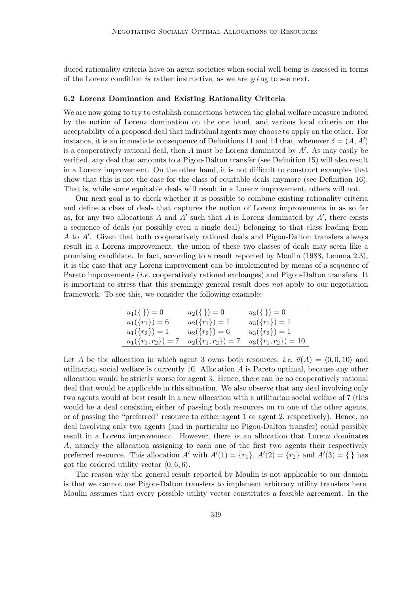duced rationality criteria have on agent societies when social well-being is assessed in terms of the Lorenz condition is rather instructive, as we are going to see next.

#### 6.2 Lorenz Domination and Existing Rationality Criteria

We are now going to try to establish connections between the global welfare measure induced by the notion of Lorenz domination on the one hand, and various local criteria on the acceptability of a proposed deal that individual agents may choose to apply on the other. For instance, it is an immediate consequence of Definitions 11 and 14 that, whenever  $\delta = (A, A')$ is a cooperatively rational deal, then  $A$  must be Lorenz dominated by  $A'$ . As may easily be verified, any deal that amounts to a Pigou-Dalton transfer (see Definition 15) will also result in a Lorenz improvement. On the other hand, it is not difficult to construct examples that show that this is not the case for the class of equitable deals anymore (see Definition 16). That is, while some equitable deals will result in a Lorenz improvement, others will not.

Our next goal is to check whether it is possible to combine existing rationality criteria and define a class of deals that captures the notion of Lorenz improvements in as so far as, for any two allocations  $A$  and  $A'$  such that  $A$  is Lorenz dominated by  $A'$ , there exists a sequence of deals (or possibly even a single deal) belonging to that class leading from  $A$  to  $A'$ . Given that both cooperatively rational deals and Pigou-Dalton transfers always result in a Lorenz improvement, the union of these two classes of deals may seem like a promising candidate. In fact, according to a result reported by Moulin (1988, Lemma 2.3), it is the case that any Lorenz improvement can be implemented by means of a sequence of Pareto improvements (i.e. cooperatively rational exchanges) and Pigou-Dalton transfers. It is important to stress that this seemingly general result does not apply to our negotiation framework. To see this, we consider the following example:

| $u_1(\{\})=0$                    | $u_2(\{\})=0$      | $u_3(\{\})=0$         |
|----------------------------------|--------------------|-----------------------|
| $u_1({r_1}) = 6$                 | $u_2({r_1})=1$     | $u_3({r_1})=1$        |
| $u_1({r_2})=1$                   | $u_2({r_2})=6$     | $u_3({r_2})=1$        |
| $u_1(\lbrace r_1,r_2 \rbrace)=7$ | $u_2({r_1,r_2})=7$ | $u_3({r_1,r_2}) = 10$ |

Let A be the allocation in which agent 3 owns both resources, *i.e.*  $\vec{u}(A) = \langle 0, 0, 10 \rangle$  and utilitarian social welfare is currently 10. Allocation  $A$  is Pareto optimal, because any other allocation would be strictly worse for agent 3. Hence, there can be no cooperatively rational deal that would be applicable in this situation. We also observe that any deal involving only two agents would at best result in a new allocation with a utilitarian social welfare of 7 (this would be a deal consisting either of passing both resources on to one of the other agents, or of passing the "preferred" resource to either agent 1 or agent 2, respectively). Hence, no deal involving only two agents (and in particular no Pigou-Dalton transfer) could possibly result in a Lorenz improvement. However, there is an allocation that Lorenz dominates A, namely the allocation assigning to each one of the first two agents their respectively preferred resource. This allocation A' with  $A'(1) = \{r_1\}$ ,  $A'(2) = \{r_2\}$  and  $A'(3) = \{\}\$  has got the ordered utility vector  $(0, 6, 6)$ .

The reason why the general result reported by Moulin is not applicable to our domain is that we cannot use Pigou-Dalton transfers to implement arbitrary utility transfers here. Moulin assumes that every possible utility vector constitutes a feasible agreement. In the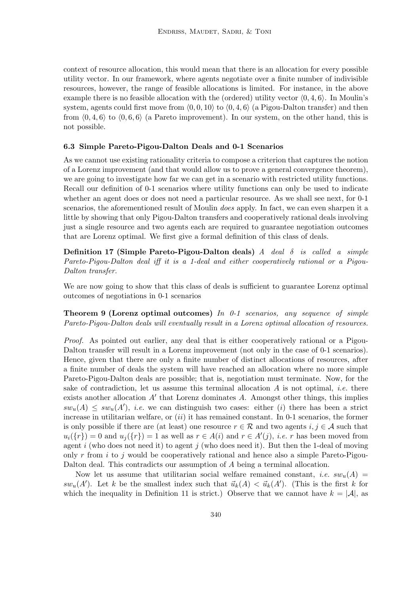context of resource allocation, this would mean that there is an allocation for every possible utility vector. In our framework, where agents negotiate over a finite number of indivisible resources, however, the range of feasible allocations is limited. For instance, in the above example there is no feasible allocation with the (ordered) utility vector  $(0, 4, 6)$ . In Moulin's system, agents could first move from  $(0, 0, 10)$  to  $(0, 4, 6)$  (a Pigou-Dalton transfer) and then from  $(0, 4, 6)$  to  $(0, 6, 6)$  (a Pareto improvement). In our system, on the other hand, this is not possible.

#### 6.3 Simple Pareto-Pigou-Dalton Deals and 0-1 Scenarios

As we cannot use existing rationality criteria to compose a criterion that captures the notion of a Lorenz improvement (and that would allow us to prove a general convergence theorem), we are going to investigate how far we can get in a scenario with restricted utility functions. Recall our definition of 0-1 scenarios where utility functions can only be used to indicate whether an agent does or does not need a particular resource. As we shall see next, for  $0-1$ scenarios, the aforementioned result of Moulin does apply. In fact, we can even sharpen it a little by showing that only Pigou-Dalton transfers and cooperatively rational deals involving just a single resource and two agents each are required to guarantee negotiation outcomes that are Lorenz optimal. We first give a formal definition of this class of deals.

Definition 17 (Simple Pareto-Pigou-Dalton deals) A deal  $\delta$  is called a simple Pareto-Pigou-Dalton deal iff it is a 1-deal and either cooperatively rational or a Pigou-Dalton transfer.

We are now going to show that this class of deals is sufficient to guarantee Lorenz optimal outcomes of negotiations in 0-1 scenarios

**Theorem 9 (Lorenz optimal outcomes)** In 0-1 scenarios, any sequence of simple Pareto-Pigou-Dalton deals will eventually result in a Lorenz optimal allocation of resources.

Proof. As pointed out earlier, any deal that is either cooperatively rational or a Pigou-Dalton transfer will result in a Lorenz improvement (not only in the case of 0-1 scenarios). Hence, given that there are only a finite number of distinct allocations of resources, after a finite number of deals the system will have reached an allocation where no more simple Pareto-Pigou-Dalton deals are possible; that is, negotiation must terminate. Now, for the sake of contradiction, let us assume this terminal allocation  $A$  is not optimal, *i.e.* there exists another allocation  $A'$  that Lorenz dominates  $A$ . Amongst other things, this implies  $sw_u(A) \leq sw_u(A')$ , *i.e.* we can distinguish two cases: either (i) there has been a strict increase in utilitarian welfare, or  $(ii)$  it has remained constant. In 0-1 scenarios, the former is only possible if there are (at least) one resource  $r \in \mathcal{R}$  and two agents  $i, j \in \mathcal{A}$  such that  $u_i({r}) = 0$  and  $u_j({r}) = 1$  as well as  $r \in A(i)$  and  $r \in A'(j)$ , *i.e.* r has been moved from agent i (who does not need it) to agent j (who does need it). But then the 1-deal of moving only r from i to j would be cooperatively rational and hence also a simple Pareto-Pigou-Dalton deal. This contradicts our assumption of A being a terminal allocation.

Now let us assume that utilitarian social welfare remained constant, *i.e.*  $sw_u(A)$  $sw_u(A')$ . Let k be the smallest index such that  $\vec{u}_k(A) < \vec{u}_k(A')$ . (This is the first k for which the inequality in Definition 11 is strict.) Observe that we cannot have  $k = |\mathcal{A}|$ , as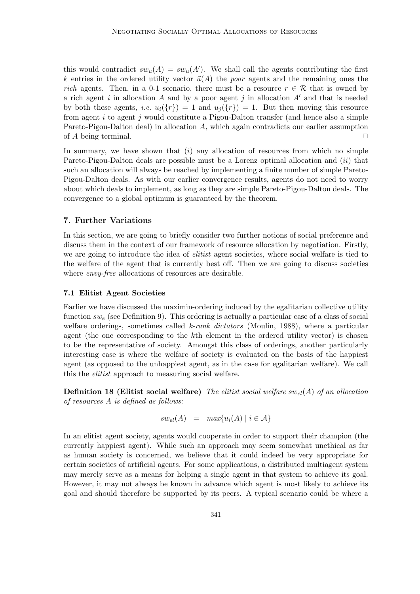this would contradict  $sw_u(A) = sw_u(A')$ . We shall call the agents contributing the first k entries in the ordered utility vector  $\vec{u}(A)$  the poor agents and the remaining ones the rich agents. Then, in a 0-1 scenario, there must be a resource  $r \in \mathcal{R}$  that is owned by a rich agent i in allocation A and by a poor agent j in allocation  $A'$  and that is needed by both these agents, *i.e.*  $u_i({r}) = 1$  and  $u_i({r}) = 1$ . But then moving this resource from agent i to agent j would constitute a Pigou-Dalton transfer (and hence also a simple Pareto-Pigou-Dalton deal) in allocation A, which again contradicts our earlier assumption of A being terminal.  $\square$ 

In summary, we have shown that  $(i)$  any allocation of resources from which no simple Pareto-Pigou-Dalton deals are possible must be a Lorenz optimal allocation and (ii) that such an allocation will always be reached by implementing a finite number of simple Pareto-Pigou-Dalton deals. As with our earlier convergence results, agents do not need to worry about which deals to implement, as long as they are simple Pareto-Pigou-Dalton deals. The convergence to a global optimum is guaranteed by the theorem.

# 7. Further Variations

In this section, we are going to briefly consider two further notions of social preference and discuss them in the context of our framework of resource allocation by negotiation. Firstly, we are going to introduce the idea of *elitist* agent societies, where social welfare is tied to the welfare of the agent that is currently best off. Then we are going to discuss societies where *envy-free* allocations of resources are desirable.

# 7.1 Elitist Agent Societies

Earlier we have discussed the maximin-ordering induced by the egalitarian collective utility function  $sw_e$  (see Definition 9). This ordering is actually a particular case of a class of social welfare orderings, sometimes called k-rank dictators (Moulin, 1988), where a particular agent (the one corresponding to the kth element in the ordered utility vector) is chosen to be the representative of society. Amongst this class of orderings, another particularly interesting case is where the welfare of society is evaluated on the basis of the happiest agent (as opposed to the unhappiest agent, as in the case for egalitarian welfare). We call this the elitist approach to measuring social welfare.

**Definition 18 (Elitist social welfare)** The elitist social welfare  $sw_{el}(A)$  of an allocation of resources A is defined as follows:

$$
sw_{el}(A) = max{u_i(A) | i \in A}
$$

In an elitist agent society, agents would cooperate in order to support their champion (the currently happiest agent). While such an approach may seem somewhat unethical as far as human society is concerned, we believe that it could indeed be very appropriate for certain societies of artificial agents. For some applications, a distributed multiagent system may merely serve as a means for helping a single agent in that system to achieve its goal. However, it may not always be known in advance which agent is most likely to achieve its goal and should therefore be supported by its peers. A typical scenario could be where a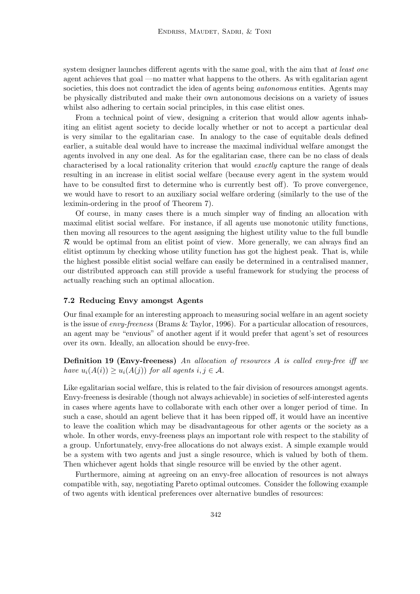system designer launches different agents with the same goal, with the aim that at least one agent achieves that goal —no matter what happens to the others. As with egalitarian agent societies, this does not contradict the idea of agents being *autonomous* entities. Agents may be physically distributed and make their own autonomous decisions on a variety of issues whilst also adhering to certain social principles, in this case elitist ones.

From a technical point of view, designing a criterion that would allow agents inhabiting an elitist agent society to decide locally whether or not to accept a particular deal is very similar to the egalitarian case. In analogy to the case of equitable deals defined earlier, a suitable deal would have to increase the maximal individual welfare amongst the agents involved in any one deal. As for the egalitarian case, there can be no class of deals characterised by a local rationality criterion that would exactly capture the range of deals resulting in an increase in elitist social welfare (because every agent in the system would have to be consulted first to determine who is currently best off). To prove convergence, we would have to resort to an auxiliary social welfare ordering (similarly to the use of the leximin-ordering in the proof of Theorem 7).

Of course, in many cases there is a much simpler way of finding an allocation with maximal elitist social welfare. For instance, if all agents use monotonic utility functions, then moving all resources to the agent assigning the highest utility value to the full bundle  $\mathcal R$  would be optimal from an elitist point of view. More generally, we can always find an elitist optimum by checking whose utility function has got the highest peak. That is, while the highest possible elitist social welfare can easily be determined in a centralised manner, our distributed approach can still provide a useful framework for studying the process of actually reaching such an optimal allocation.

#### 7.2 Reducing Envy amongst Agents

Our final example for an interesting approach to measuring social welfare in an agent society is the issue of *envy-freeness* (Brams  $\&$  Taylor, 1996). For a particular allocation of resources, an agent may be "envious" of another agent if it would prefer that agent's set of resources over its own. Ideally, an allocation should be envy-free.

**Definition 19 (Envy-freeness)** An allocation of resources A is called envy-free iff we have  $u_i(A(i)) \geq u_i(A(j))$  for all agents  $i, j \in \mathcal{A}$ .

Like egalitarian social welfare, this is related to the fair division of resources amongst agents. Envy-freeness is desirable (though not always achievable) in societies of self-interested agents in cases where agents have to collaborate with each other over a longer period of time. In such a case, should an agent believe that it has been ripped off, it would have an incentive to leave the coalition which may be disadvantageous for other agents or the society as a whole. In other words, envy-freeness plays an important role with respect to the stability of a group. Unfortunately, envy-free allocations do not always exist. A simple example would be a system with two agents and just a single resource, which is valued by both of them. Then whichever agent holds that single resource will be envied by the other agent.

Furthermore, aiming at agreeing on an envy-free allocation of resources is not always compatible with, say, negotiating Pareto optimal outcomes. Consider the following example of two agents with identical preferences over alternative bundles of resources: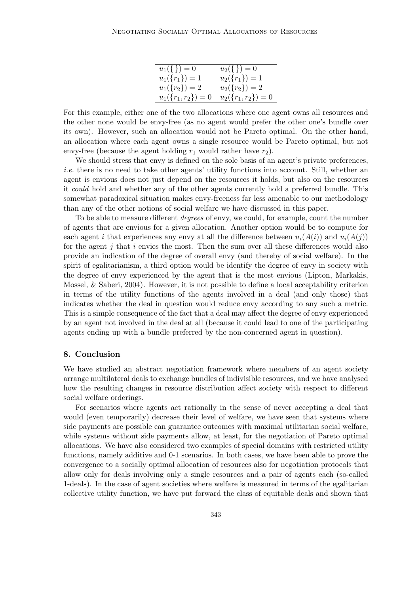| $u_1(\{\})=0$                    | $u_2(\{\})=0$      |
|----------------------------------|--------------------|
| $u_1({r_1}) = 1$                 | $u_2({r_1})=1$     |
| $u_1({r_2}) = 2$                 | $u_2({r_2})=2$     |
| $u_1(\lbrace r_1,r_2 \rbrace)=0$ | $u_2({r_1,r_2})=0$ |

For this example, either one of the two allocations where one agent owns all resources and the other none would be envy-free (as no agent would prefer the other one's bundle over its own). However, such an allocation would not be Pareto optimal. On the other hand, an allocation where each agent owns a single resource would be Pareto optimal, but not envy-free (because the agent holding  $r_1$  would rather have  $r_2$ ).

We should stress that envy is defined on the sole basis of an agent's private preferences, i.e. there is no need to take other agents' utility functions into account. Still, whether an agent is envious does not just depend on the resources it holds, but also on the resources it could hold and whether any of the other agents currently hold a preferred bundle. This somewhat paradoxical situation makes envy-freeness far less amenable to our methodology than any of the other notions of social welfare we have discussed in this paper.

To be able to measure different *degrees* of envy, we could, for example, count the number of agents that are envious for a given allocation. Another option would be to compute for each agent i that experiences any envy at all the difference between  $u_i(A(i))$  and  $u_i(A(j))$ for the agent j that i envies the most. Then the sum over all these differences would also provide an indication of the degree of overall envy (and thereby of social welfare). In the spirit of egalitarianism, a third option would be identify the degree of envy in society with the degree of envy experienced by the agent that is the most envious (Lipton, Markakis, Mossel, & Saberi, 2004). However, it is not possible to define a local acceptability criterion in terms of the utility functions of the agents involved in a deal (and only those) that indicates whether the deal in question would reduce envy according to any such a metric. This is a simple consequence of the fact that a deal may affect the degree of envy experienced by an agent not involved in the deal at all (because it could lead to one of the participating agents ending up with a bundle preferred by the non-concerned agent in question).

# 8. Conclusion

We have studied an abstract negotiation framework where members of an agent society arrange multilateral deals to exchange bundles of indivisible resources, and we have analysed how the resulting changes in resource distribution affect society with respect to different social welfare orderings.

For scenarios where agents act rationally in the sense of never accepting a deal that would (even temporarily) decrease their level of welfare, we have seen that systems where side payments are possible can guarantee outcomes with maximal utilitarian social welfare, while systems without side payments allow, at least, for the negotiation of Pareto optimal allocations. We have also considered two examples of special domains with restricted utility functions, namely additive and 0-1 scenarios. In both cases, we have been able to prove the convergence to a socially optimal allocation of resources also for negotiation protocols that allow only for deals involving only a single resources and a pair of agents each (so-called 1-deals). In the case of agent societies where welfare is measured in terms of the egalitarian collective utility function, we have put forward the class of equitable deals and shown that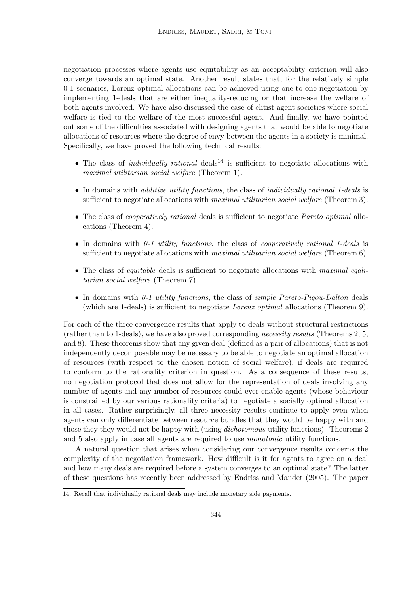negotiation processes where agents use equitability as an acceptability criterion will also converge towards an optimal state. Another result states that, for the relatively simple 0-1 scenarios, Lorenz optimal allocations can be achieved using one-to-one negotiation by implementing 1-deals that are either inequality-reducing or that increase the welfare of both agents involved. We have also discussed the case of elitist agent societies where social welfare is tied to the welfare of the most successful agent. And finally, we have pointed out some of the difficulties associated with designing agents that would be able to negotiate allocations of resources where the degree of envy between the agents in a society is minimal. Specifically, we have proved the following technical results:

- The class of *individually rational* deals<sup>14</sup> is sufficient to negotiate allocations with maximal utilitarian social welfare (Theorem 1).
- In domains with *additive utility functions*, the class of *individually rational 1-deals* is sufficient to negotiate allocations with *maximal utilitarian social welfare* (Theorem 3).
- The class of *cooperatively rational* deals is sufficient to negotiate *Pareto optimal* allocations (Theorem 4).
- $\bullet$  In domains with 0-1 utility functions, the class of *cooperatively rational* 1-deals is sufficient to negotiate allocations with *maximal utilitarian social welfare* (Theorem 6).
- The class of *equitable* deals is sufficient to negotiate allocations with *maximal equi*tarian social welfare (Theorem 7).
- In domains with  $0-1$  utility functions, the class of simple Pareto-Pigou-Dalton deals (which are 1-deals) is sufficient to negotiate Lorenz optimal allocations (Theorem 9).

For each of the three convergence results that apply to deals without structural restrictions (rather than to 1-deals), we have also proved corresponding necessity results (Theorems 2, 5, and 8). These theorems show that any given deal (defined as a pair of allocations) that is not independently decomposable may be necessary to be able to negotiate an optimal allocation of resources (with respect to the chosen notion of social welfare), if deals are required to conform to the rationality criterion in question. As a consequence of these results, no negotiation protocol that does not allow for the representation of deals involving any number of agents and any number of resources could ever enable agents (whose behaviour is constrained by our various rationality criteria) to negotiate a socially optimal allocation in all cases. Rather surprisingly, all three necessity results continue to apply even when agents can only differentiate between resource bundles that they would be happy with and those they they would not be happy with (using *dichotomous* utility functions). Theorems 2 and 5 also apply in case all agents are required to use monotonic utility functions.

A natural question that arises when considering our convergence results concerns the complexity of the negotiation framework. How difficult is it for agents to agree on a deal and how many deals are required before a system converges to an optimal state? The latter of these questions has recently been addressed by Endriss and Maudet (2005). The paper

<sup>14.</sup> Recall that individually rational deals may include monetary side payments.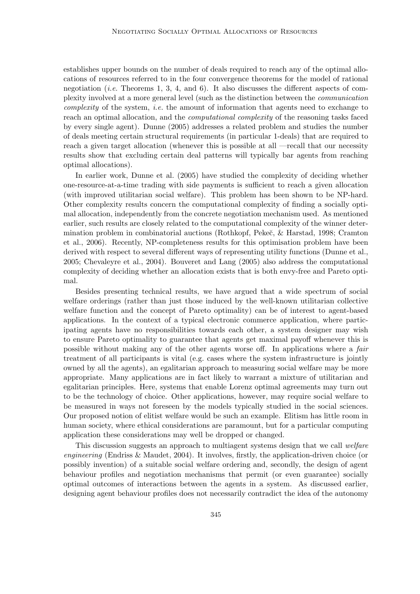establishes upper bounds on the number of deals required to reach any of the optimal allocations of resources referred to in the four convergence theorems for the model of rational negotiation (*i.e.* Theorems 1, 3, 4, and 6). It also discusses the different aspects of complexity involved at a more general level (such as the distinction between the communication complexity of the system, *i.e.* the amount of information that agents need to exchange to reach an optimal allocation, and the computational complexity of the reasoning tasks faced by every single agent). Dunne (2005) addresses a related problem and studies the number of deals meeting certain structural requirements (in particular 1-deals) that are required to reach a given target allocation (whenever this is possible at all —recall that our necessity results show that excluding certain deal patterns will typically bar agents from reaching optimal allocations).

In earlier work, Dunne et al. (2005) have studied the complexity of deciding whether one-resource-at-a-time trading with side payments is sufficient to reach a given allocation (with improved utilitarian social welfare). This problem has been shown to be NP-hard. Other complexity results concern the computational complexity of finding a socially optimal allocation, independently from the concrete negotiation mechanism used. As mentioned earlier, such results are closely related to the computational complexity of the winner determination problem in combinatorial auctions (Rothkopf, Peke˘c, & Harstad, 1998; Cramton et al., 2006). Recently, NP-completeness results for this optimisation problem have been derived with respect to several different ways of representing utility functions (Dunne et al., 2005; Chevaleyre et al., 2004). Bouveret and Lang (2005) also address the computational complexity of deciding whether an allocation exists that is both envy-free and Pareto optimal.

Besides presenting technical results, we have argued that a wide spectrum of social welfare orderings (rather than just those induced by the well-known utilitarian collective welfare function and the concept of Pareto optimality) can be of interest to agent-based applications. In the context of a typical electronic commerce application, where participating agents have no responsibilities towards each other, a system designer may wish to ensure Pareto optimality to guarantee that agents get maximal payoff whenever this is possible without making any of the other agents worse off. In applications where a fair treatment of all participants is vital (e.g. cases where the system infrastructure is jointly owned by all the agents), an egalitarian approach to measuring social welfare may be more appropriate. Many applications are in fact likely to warrant a mixture of utilitarian and egalitarian principles. Here, systems that enable Lorenz optimal agreements may turn out to be the technology of choice. Other applications, however, may require social welfare to be measured in ways not foreseen by the models typically studied in the social sciences. Our proposed notion of elitist welfare would be such an example. Elitism has little room in human society, where ethical considerations are paramount, but for a particular computing application these considerations may well be dropped or changed.

This discussion suggests an approach to multiagent systems design that we call *welfare engineering* (Endriss & Maudet, 2004). It involves, firstly, the application-driven choice (or possibly invention) of a suitable social welfare ordering and, secondly, the design of agent behaviour profiles and negotiation mechanisms that permit (or even guarantee) socially optimal outcomes of interactions between the agents in a system. As discussed earlier, designing agent behaviour profiles does not necessarily contradict the idea of the autonomy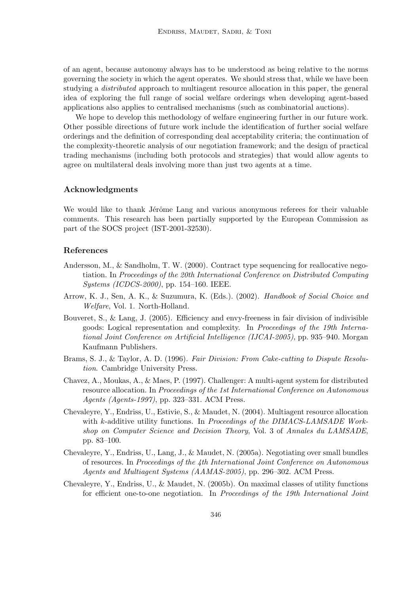of an agent, because autonomy always has to be understood as being relative to the norms governing the society in which the agent operates. We should stress that, while we have been studying a distributed approach to multiagent resource allocation in this paper, the general idea of exploring the full range of social welfare orderings when developing agent-based applications also applies to centralised mechanisms (such as combinatorial auctions).

We hope to develop this methodology of welfare engineering further in our future work. Other possible directions of future work include the identification of further social welfare orderings and the definition of corresponding deal acceptability criteria; the continuation of the complexity-theoretic analysis of our negotiation framework; and the design of practical trading mechanisms (including both protocols and strategies) that would allow agents to agree on multilateral deals involving more than just two agents at a time.

# Acknowledgments

We would like to thank Jérôme Lang and various anonymous referees for their valuable comments. This research has been partially supported by the European Commission as part of the SOCS project (IST-2001-32530).

# References

- Andersson, M., & Sandholm, T. W. (2000). Contract type sequencing for reallocative negotiation. In Proceedings of the 20th International Conference on Distributed Computing Systems (ICDCS-2000), pp. 154–160. IEEE.
- Arrow, K. J., Sen, A. K., & Suzumura, K. (Eds.). (2002). Handbook of Social Choice and Welfare, Vol. 1. North-Holland.
- Bouveret, S., & Lang, J. (2005). Efficiency and envy-freeness in fair division of indivisible goods: Logical representation and complexity. In Proceedings of the 19th International Joint Conference on Artificial Intelligence (IJCAI-2005), pp. 935–940. Morgan Kaufmann Publishers.
- Brams, S. J., & Taylor, A. D. (1996). Fair Division: From Cake-cutting to Dispute Resolution. Cambridge University Press.
- Chavez, A., Moukas, A., & Maes, P. (1997). Challenger: A multi-agent system for distributed resource allocation. In Proceedings of the 1st International Conference on Autonomous Agents (Agents-1997), pp. 323–331. ACM Press.
- Chevaleyre, Y., Endriss, U., Estivie, S., & Maudet, N. (2004). Multiagent resource allocation with k-additive utility functions. In Proceedings of the DIMACS-LAMSADE Workshop on Computer Science and Decision Theory, Vol. 3 of Annales du LAMSADE, pp. 83–100.
- Chevaleyre, Y., Endriss, U., Lang, J., & Maudet, N. (2005a). Negotiating over small bundles of resources. In Proceedings of the 4th International Joint Conference on Autonomous Agents and Multiagent Systems (AAMAS-2005), pp. 296–302. ACM Press.
- Chevaleyre, Y., Endriss, U., & Maudet, N. (2005b). On maximal classes of utility functions for efficient one-to-one negotiation. In Proceedings of the 19th International Joint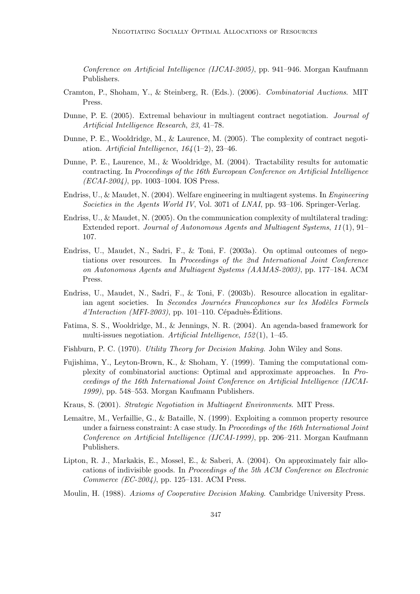Conference on Artificial Intelligence (IJCAI-2005), pp. 941–946. Morgan Kaufmann Publishers.

- Cramton, P., Shoham, Y., & Steinberg, R. (Eds.). (2006). Combinatorial Auctions. MIT Press.
- Dunne, P. E. (2005). Extremal behaviour in multiagent contract negotiation. Journal of Artificial Intelligence Research, 23, 41–78.
- Dunne, P. E., Wooldridge, M., & Laurence, M. (2005). The complexity of contract negotiation. Artificial Intelligence,  $164(1-2)$ , 23-46.
- Dunne, P. E., Laurence, M., & Wooldridge, M. (2004). Tractability results for automatic contracting. In Proceedings of the 16th Eureopean Conference on Artificial Intelligence (ECAI-2004), pp. 1003–1004. IOS Press.
- Endriss, U., & Maudet, N. (2004). Welfare engineering in multiagent systems. In Engineering Societies in the Agents World IV, Vol. 3071 of LNAI, pp. 93–106. Springer-Verlag.
- Endriss, U., & Maudet, N. (2005). On the communication complexity of multilateral trading: Extended report. Journal of Autonomous Agents and Multiagent Systems, 11 (1), 91– 107.
- Endriss, U., Maudet, N., Sadri, F., & Toni, F. (2003a). On optimal outcomes of negotiations over resources. In Proceedings of the 2nd International Joint Conference on Autonomous Agents and Multiagent Systems (AAMAS-2003), pp. 177–184. ACM Press.
- Endriss, U., Maudet, N., Sadri, F., & Toni, F. (2003b). Resource allocation in egalitarian agent societies. In Secondes Journées Francophones sur les Modèles Formels  $d'Interaction$  (MFI-2003), pp. 101–110. Cépaduès-Éditions.
- Fatima, S. S., Wooldridge, M., & Jennings, N. R. (2004). An agenda-based framework for multi-issues negotiation. Artificial Intelligence,  $152(1)$ , 1–45.
- Fishburn, P. C. (1970). Utility Theory for Decision Making. John Wiley and Sons.
- Fujishima, Y., Leyton-Brown, K., & Shoham, Y. (1999). Taming the computational complexity of combinatorial auctions: Optimal and approximate approaches. In Proceedings of the 16th International Joint Conference on Artificial Intelligence (IJCAI-1999), pp. 548–553. Morgan Kaufmann Publishers.
- Kraus, S. (2001). Strategic Negotiation in Multiagent Environments. MIT Press.
- Lemaître, M., Verfaillie, G., & Bataille, N. (1999). Exploiting a common property resource under a fairness constraint: A case study. In Proceedings of the 16th International Joint Conference on Artificial Intelligence (IJCAI-1999), pp. 206–211. Morgan Kaufmann Publishers.
- Lipton, R. J., Markakis, E., Mossel, E., & Saberi, A. (2004). On approximately fair allocations of indivisible goods. In Proceedings of the 5th ACM Conference on Electronic Commerce (EC-2004), pp. 125–131. ACM Press.
- Moulin, H. (1988). Axioms of Cooperative Decision Making. Cambridge University Press.